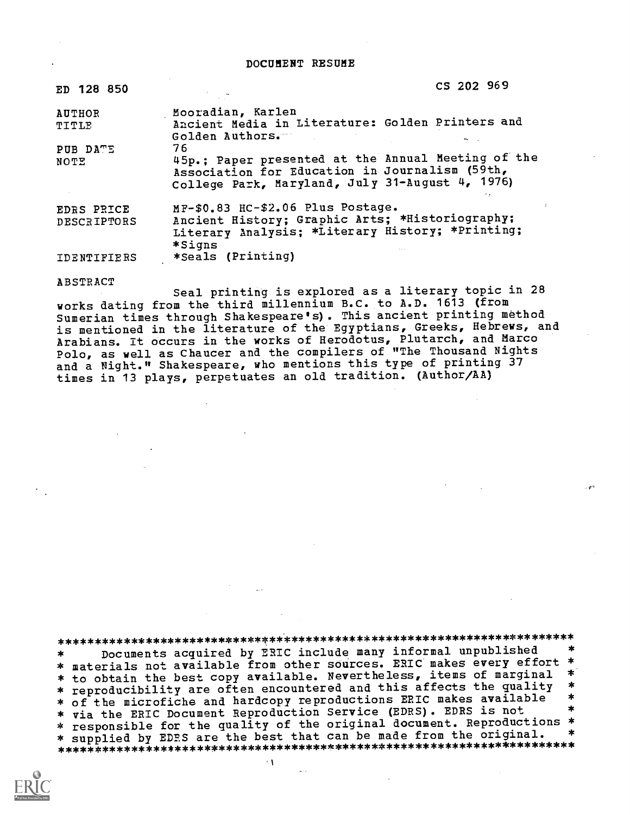DOCUMENT RESUME

| ED 128 850             | CS 202 969                                                                                                                                              |
|------------------------|---------------------------------------------------------------------------------------------------------------------------------------------------------|
| <b>AUTHOR</b><br>TITLE | Mooradian, Karlen<br>Ancient Media in Literature: Golden Printers and<br>Golden Authors.                                                                |
| PUB DATE               | 76                                                                                                                                                      |
| NOTE                   | 45p.; Paper presented at the Annual Meeting of the<br>Association for Education in Journalism (59th,<br>College Park, Maryland, July 31-August 4, 1976) |
| <b>EDRS PRICE</b>      | MF-\$0.83 HC-\$2.06 Plus Postage.                                                                                                                       |
| <b>DESCRIPTORS</b>     | Ancient History; Graphic Arts; *Historiography;                                                                                                         |
|                        | Literary Analysis; *Literary History; *Printing;<br>*Signs                                                                                              |
| IDENTIFIERS            | *Seals (Printing)                                                                                                                                       |

#### ABSTRACT

Seal printing is explored as a literary topic in 28 works dating from the third millennium B.C. to A.D. 1613 (from Sumerian times through Shakespeare's). This ancient printing method is mentioned in the literature of the Egyptians, Greeks, Hebrews, and Arabians. It occurs in the works of Herodotus, Plutarch, and Marco Polo, as well as Chaucer and the compilers of "The Thousand Nights and a Night." Shakespeare, who mentions this type of printing 37 times in 13 plays, perpetuates an old tradition. (Author/AA)

\*\*\*\*\*\*\*\*\*\*\*\*\*\*\*\*\*\*\*\*\*\*\*\*\*\*\*\*\*\*\*\*\*\*\*\*\*\*\*\*\*\*\*\*\*\*\*\*\*\*\*\*\*\*\*\*\*\*\*\*\*\*\*\*\*\*\*\*\*\*\* Documents acquired by ERIC include many informal unpublished \* materials not available from other sources. ERIC makes every effort \* \* to obtain the best copy available. Nevertheless, items of marginal \*<br>\* reproducibility are often encountered and this affects the quality \*<br>\* of the microfiche and hardcopy reproductions ERIC makes available \* \* of the microfiche and hardcopy reproductions ERIC makes available \* \*<br>\* via the ERIC Document Reproduction Service (EDRS). EDRS is not \* \* responsible for the quality of the original document. Reproductions \* \* supplied by EDES are the best that can be made from the original. \*\*\*\*\*\*\*\*\*\*\*\*\*\*\*\*\*\*\*\*\*\*\*\*\*\*\*\*\*\*\*\*\*\*\*\*\*\*\*\*\*\*\*\*\*\*\*\*\*\*\*\*\*\*\*\*\*\*\*\*\*\*\*\*\*\*\*\*\*\*\*

- 1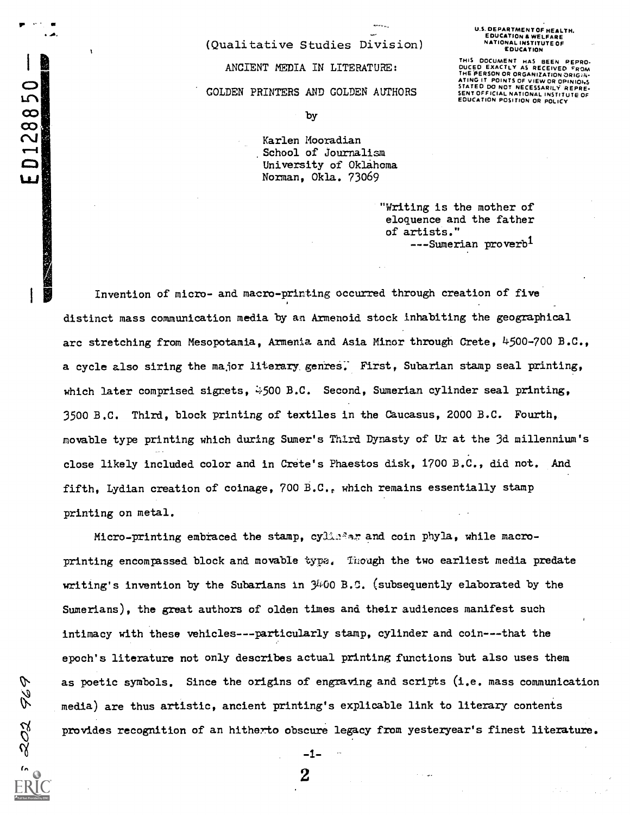# ANCIENT MEDIA IN LITERATURE: GOLDEN PRINTERS AND GOLDEN AUTHORS

(Qualitative Studies Division)

THIS DOCUMENT HAS BEEN REPRO-<br>DUCED EXACTLY AS RECEIVED FROM<br>THE PERSON OR ORGANIZATION ORIGAN-ATING IT POINTS OF VIEW OR OPINIONS ATING IT PUINTS OF VIEW OR OF MINORS<br>STATED DO NOT NECESSARILY REPRE-<br>SENT OFFICIAL NATIONAL INSTITUTE OF EDUCATION POSITION OR POLICY

 $\infty$  by the contract of  $\sim$ 

ED128850

202

Karlen Mooradian<br>School of Journalism University of Oklahoma Norman, Okla. 73069

> "Writing is the mother of eloquence and the father of artists." ---Sumerian proverb<sup>1</sup>

Invention of micro- and macro-printing occurred through creation of five distinct mass communication media by an Armenoid stock inhabiting the geographical arc stretching from Mesopotamia, Armenia and Asia Minor through Crete, 4500-700 B.C., a cycle also siring the major literary, genreS: First, Subarian stamp seal printing, which later comprised signets,  $\frac{1}{2}500$  B.C. Second, Sumerian cylinder seal printing, 3500 B.C. Third, block printing of textiles in the Caucasus, 2000 B.C. Fourth, movable type printing which during Sumer's Third Dynasty of Ur at the 3d millennium's close likely included color and in Crete's Phaestos disk, 1700 B.C., did not. And fifth. Lydian creation of coinage, 700 B.C., which remains essentially stamp printing on metal.

Micro-printing embraced the stamp, cylla?ar and coin phyla, while macroprinting encompassed block and movable type. Though the two earliest media predate writing's invention by the Subarians in  $\mathcal{Y}^{100}$  B.C. (subsequently elaborated by the Sumerians), the great authors of olden times and their audiences manifest such intimacy with these vehicles---particularly stamp, cylinder and coin---that the epoch's literature not only describes actual printing functions but also uses them  $\mathcal{D}$  as poetic symbols. Since the origins of engraving and scripts (i.e. mass communication<br> $\mathcal{D}$  media) are thus artistic, ancient printing's explicable link to literary contents media) are thus artistic, ancient printing's explicable link to literary contents provides recognition of an hitherto obscure legacy from yesteryear's finest literature.

2

 $-1-$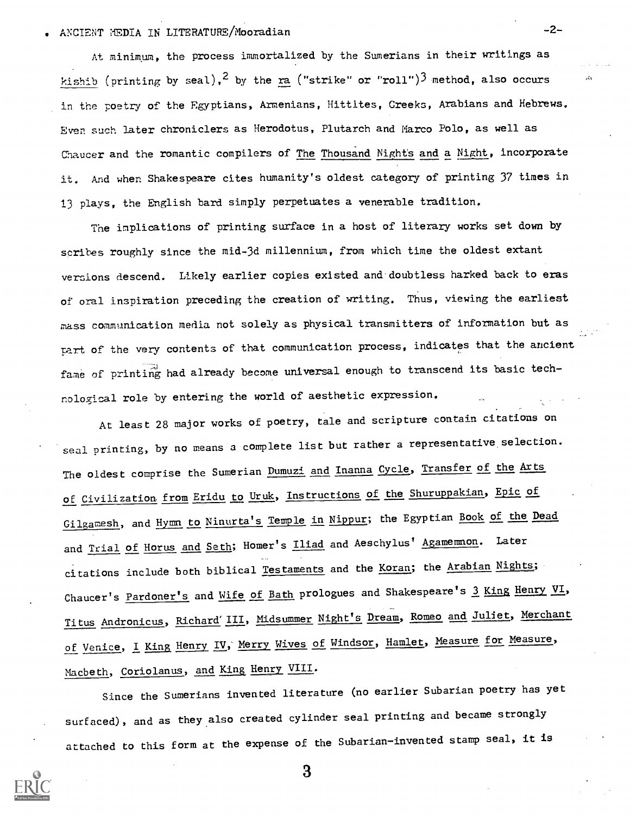## ANCIENT MEDIA IN LITERATURE/Mooradian -2-

At minimum, the process immortalized by the Sumerians in their writings as kishib (printing by seal),<sup>2</sup> by the ra ("strike" or "roll")<sup>3</sup> method, also occurs in the poetry of the Egyptians, Armenians, Hittites, Creeks, Arabians and Hebrews. Even such later chroniclers as Herodotus, Plutarch and Marco Polo, as well as Chaucer and the romantic compilers of The Thousand Nights and a Night, incorporate it. And when Shakespeare cites humanity's oldest category of printing 37 times in 13 plays, the English bard simply perpetuates a venerable tradition.

The implications of printing surface in a host of literary works set down by scribes roughly since the mid-3d millennium, from which time the oldest extant versions descend. Likely earlier copies existed and doubtless harked back to eras of oral inspiration preceding the creation of writing. Thus, viewing the earliest mass communication media not solely as physical transmitters of information but as part of the very contents of that communication process, indicates that the ancient fame of printing had already become universal enough to transcend its basic technological role by entering the world of aesthetic expression.

At least 28 major works of poetry, tale and scripture contain citations on seal printing, by no means a complete list but rather a representative selection. The oldest comprise the Sumerian Dumuzi and Inanna Cycle, Transfer of the Arts of Civilization from Eridu to Uruk, Instructions of the Shuruppakian, Epic of Gilgamesh, and Hymn to Ninurta's Temple in Nippur; the Egyptian Book of the Dead and Trial of Horus and Seth; Homer's Iliad and Aeschylus' Agamemmon. Later citations include both biblical Testaments and the Koran; the Arabian Nights; Chaucer's Pardoner's and Wife of Bath prologues and Shakespeare's 3 King Henry VI, Titus Andronicus, Richard'III, Midsummer Night's Dream, Romeo and Juliet, Merchant of Venice, I King Henry IV, Merry Wives of Windsor, Hamlet, Measure for Measure, Macbeth, Coriolanus, and King Henry VIII.

Since the Sumerians invented literature (no earlier Subarian poetry has yet surfaced), and as they also created cylinder seal printing and became strongly attached to this form at the expense of the Subarian-invented stamp seal, it is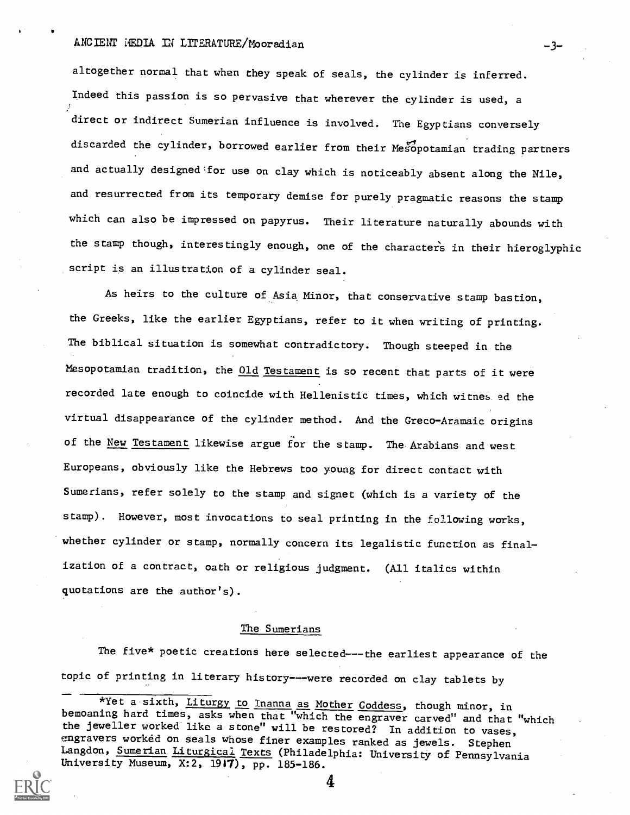## ANCIENT HEDIA IN LITERATURE/Mooradian -3-

altogether normal that when they speak of seals, the cylinder is inferred. Indeed this passion is so pervasive that wherever the cylinder is used, a direct or indirect Sumerian influence is involved. The Egyptians conversely discarded the cylinder, borrowed earlier from their Mesopotamian trading partners and actually designed for use on clay which is noticeably absent along the Nile, and resurrected from its temporary demise for purely pragmatic reasons the stamp which can also be impressed on papyrus. Their literature naturally abounds with the stamp though, interestingly enough, one of the characters in their hieroglyphic script is an illustration of a cylinder seal.

As heirs to the culture of Asia Minor, that conservative stamp bastion, the Greeks, like the earlier Egyptians, refer to it when writing of printing. The biblical situation is somewhat contradictory. Though steeped in the Mesopotamian tradition, the Old Testament is so recent that parts of it were recorded late enough to coincide with Hellenistic times, which witnes ed the virtual disappearance of the cylinder method. And the Greco-Aramaic origins of the New Testament likewise argue for the stamp. The Arabians and west Europeans, obviously like the Hebrews too young for direct contact with Sumerians, refer solely to the stamp and signet (which is a variety of the stamp). However, most invocations to seal printing in the following works, whether cylinder or stamp, normally concern its legalistic function as finalization of a contract, oath or religious judgment. (All italics within quotations are the author's).

### The Sumerians

The five\* poetic creations here selected---the earliest appearance of the topic of printing in literary history---were recorded on clay tablets by

<sup>\*</sup>Yet a sixth, Liturgy to Inanna as Mother Goddess, though minor, in bemoaning hard times, asks when that "which the engraver carved" and that "which the jeweller worked like a stone" will be restored? In addition to vases, engravers worked on seals whose finer examples ranked as jewels. Stephen Langdon, Sumerian Liturgical Texts (Philadelphia: University of Pennsylvania University Museum, X:2, 1917), pp. 185-186.

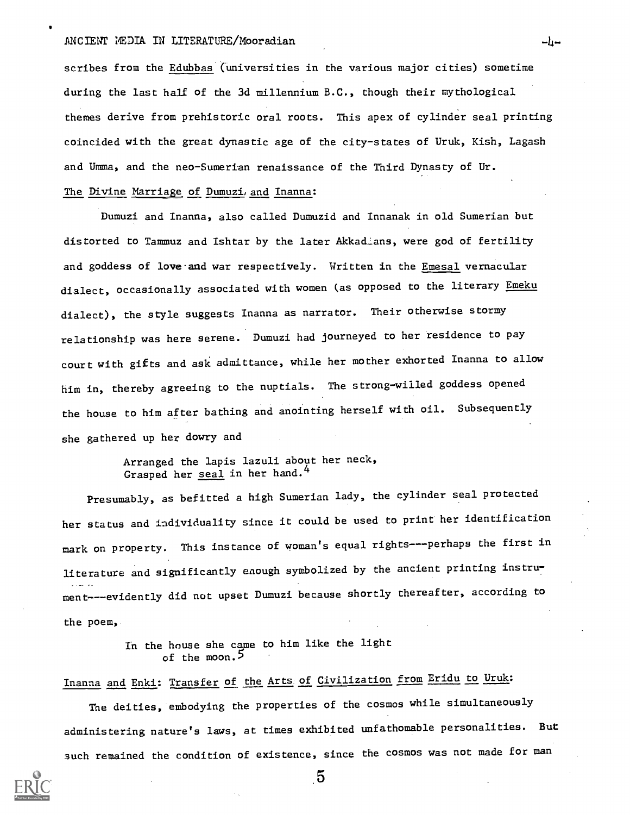### ANCIENT MEDIA IN LITERATURE/Mooradian  $-l_1-$

scribes from the Edubbas (universities in the various major cities) sometime during the last half of the 3d millennium B.C., though their mythological themes derive from prehistoric oral roots. This apex of cylinder seal printing coincided with the great dynastic age of the city-states of Uruk, Kish, Lagash and Umma, and the neo-Sumerian renaissance of the Third Dynasty of Ur.

### The Divine Marriage of Dumuzi, and Inanna:

Dumuzi and Inanna, also called Dumuzid and Innanak in old Sumerian but distorted to Tammuz and Ishtar by the later Akkadians, were god of fertility and goddess of love and war respectively. Written in the Emesal vernacular dialect, occasionally associated with women (as opposed to the literary Emeku dialect), the style suggests Inanna as narrator. Their otherwise stormy relationship was here serene. Dumuzi had journeyed to her residence to pay court with gifts and ask admittance, while her mother exhorted Inanna to allow him in, thereby agreeing to the nuptials. The strong-willed goddess opened the house to him after bathing and anointing herself with oil. Subsequently she gathered up her dowry and

> Arranged the lapis lazuli about her neck, Grasped her seal in her hand.<sup>4</sup>

Presumably, as befitted a high Sumerian lady, the cylinder seal protected her status and individuality since it could be used to print her identification mark on property. This instance of woman's equal rights---perhaps the first in literature and significantly enough symbolized by the ancient printing instrument---evidently did not upset Dumuzi because shortly thereafter, according to the poem,

> In the house she came to him like the light of the moon.<sup>5</sup>

# Inanna and Enki: Transfer of the Arts of Civilization from Eridu to Uruk:

The deities, embodying the properties of the cosmos while simultaneously administering nature's laws, at times exhibited unfathomable personalities. But such remained the condition of existence, since the cosmos was not made for man



 $\sqrt{5}$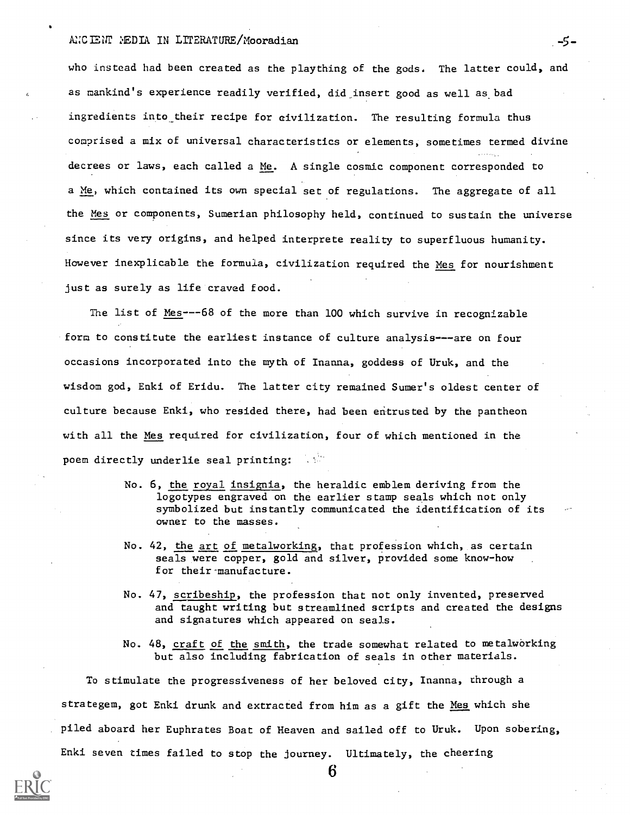### ANCIENT MEDIA IN LITERATURE/Mooradian 5-5-

who instead had been created as the plaything of the gods. The latter could, and as mankind's experience readily verified, did insert good as well as bad ingredients into their recipe for civilization. The resulting formula thus comprised a mix of universal characteristics or elements, sometimes termed divine decrees or laws, each called a Me. A single cosmic component corresponded to a Me, which contained its own special set of regulations. The aggregate of all the Mes or components, Sumerian philosophy held, continued to sustain the universe since its very origins, and helped interprete reality to superfluous humanity. However inexplicable the formula, civilization required the Mes for nourishment just as surely as life craved food.

The list of Mes---68 of the more than 100 which survive in recognizable form to constitute the earliest instance of culture analysis---are on four occasions incorporated into the myth of Inanna, goddess of Uruk, and the wisdom god, Enki of Eridu. The latter city remained Sumer's oldest center of culture because Enki, who resided there, had been entrusted by the pantheon with all the Mes required for civilization, four of which mentioned in the poem directly underlie seal printing:

- No. 6, the royal insignia, the heraldic emblem deriving from the logotypes engraved on the earlier stamp seals which not only symbolized but instantly communicated the identification of its owner to the masses.
- No. 42, the art of metalworking, that profession which, as certain seals were copper, gold and silver, provided some know-how for their-manufacture.
- No. 47, scribeship, the profession that not only invented, preserved and taught writing but streamlined scripts and created the designs and signatures which appeared on seals.
- No. 48, craft of the smith, the trade somewhat related to metalworking but also including fabrication of seals in other materials.

To stimulate the progressiveness of her beloved city, Inanna, through a strategem, got Enki drunk and extracted from him as a gift the Mes which she piled aboard her Euphrates Boat of Heaven and sailed off to Uruk. Upon sobering, Enki seven times failed to stop the journey. Ultimately, the cheering

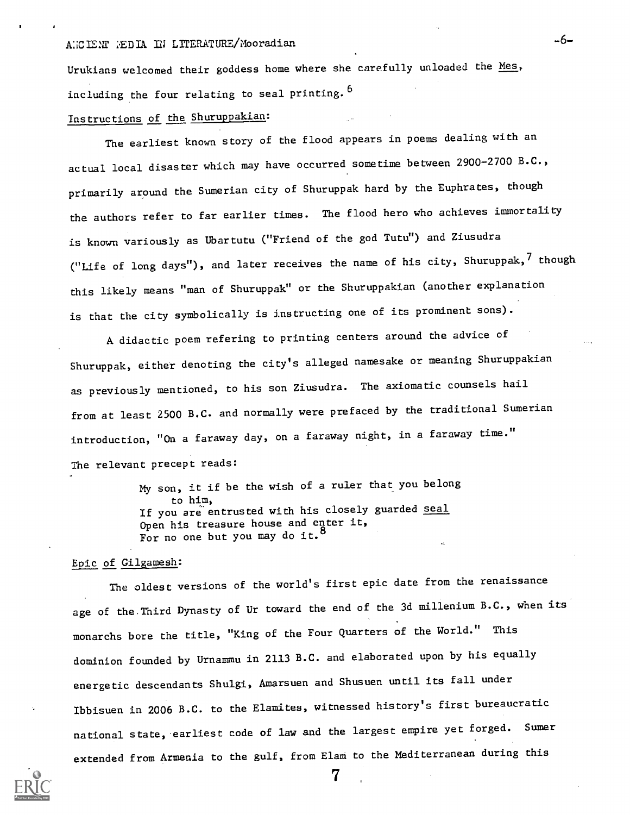Urukians welcomed their goddess home where she carefully unloaded the Mes, including the four relating to seal printing. 6

# Instructions of the Shuruppakian:

The earliest known story of the flood appears in poems dealing with an actual local disaster which may have occurred sometime between 2900-2700 B.C., primarily around the Sumerian city of Shuruppak hard by the Euphrates, though the authors refer to far earlier times. The flood hero who achieves immortality is known variously as Ubartutu ("Friend of the god Tutu") and Ziusudra ("Life of long days"), and later receives the name of his city, Shuruppak,<sup>7</sup> though this likely means "man of Shuruppak" or the Shuruppakian (another explanation is that the city symbolically is instructing one of its prominent sons).

A didactic poem refering to printing centers around the advice of Shuruppak, either denoting the city's alleged namesake or meaning Shuruppakian as previously mentioned, to his son Ziusudra. The axiomatic counsels hail from at least 2500 B.C. and normally were prefaced by the traditional Sumerian introduction, "On a faraway day, on a faraway night, in a faraway time." The relevant precept reads:

> my son, it if be the wish of a ruler that you belong to him, If you are entrusted with his closely guarded <u>seal</u> Open his treasure house and enter it, For no one but you may do it.<sup>8</sup>

#### Epic of Gilgamesh:

The oldest versions of the world's first epic date from the renaissance age of the.Third Dynasty of Ur toward the end of the 3d millenium B.C., when its monarchs bore the title, "King of the Four Quarters of the World." This dominion founded by Urnammu in 2113 B.C. and elaborated upon by his equally energetic descendants Shulgi, Amarsuen and Shusuen until its fall under Ibbisuen in 2006 B.C. to the Elamites, witnessed history's first bureaucratic national state, earliest code of law and the largest empire yet forged. Sumer extended from Armenia to the gulf, from Elam to the Mediterranean during this

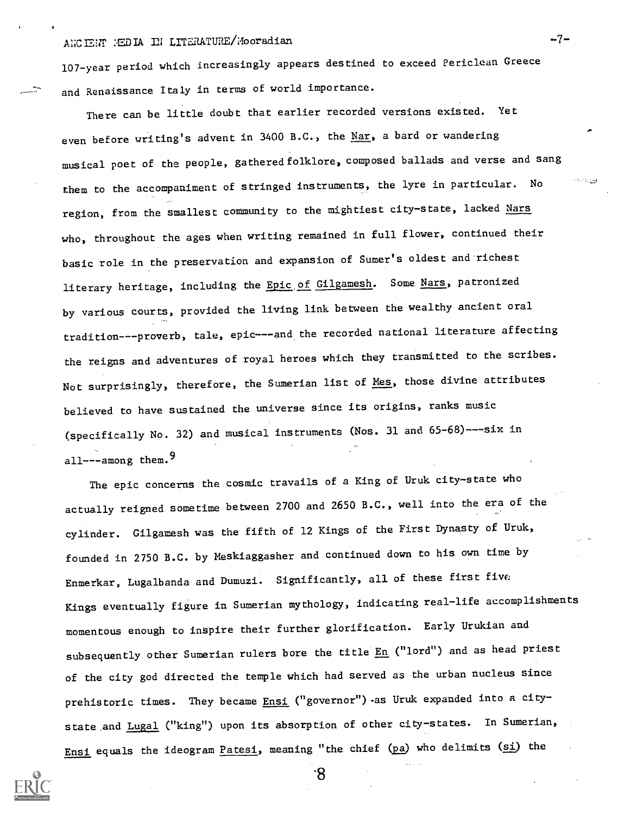# ANCIENT HEDIA IN LITERATURE/Mooradian -7-

107-year period which increasingly appears destined to exceed Periclean Greece and Renaissance Italy in terms of world importance.

There can be little doubt that earlier recorded versions existed. Yet even before writing's advent in 3400 B.C., the Nar, a bard or wandering musical poet of the people, gatheredfolklore, composed ballads and verse and sang them to the accompaniment of stringed instruments, the lyre in particular. No the state region, from the smallest community to the mightiest city-state, lacked Nars who, throughout the ages when writing remained in full flower, continued their basic role in the preservation and expansion of Sumer's oldest and-richest literary heritage, including the Epic of Gilgamesh. Some Nars, patronized by various courts, provided the living link between the wealthy ancient oral tradition---proverb, tale, epic---and the recorded national literature affecting the reigns and adventures of royal heroes which they transmitted to the scribes. Not surprisingly, therefore, the Sumerian list of Mes, those divine attributes believed to have sustained the universe since its origins, ranks music (specifically No. 32) and musical instruments (Nos. 31 and 65-68)---six in all---among them.  $9$ 

The epic concerns the cosmic travails of a King of Uruk city-state who actually reigned sometime between 2700 and 2650 B.C., well into the era of the cylinder. Gilgamesh was the fifth of 12 Kings of the First Dynasty of Uruk, founded in 2750 B.C. by Meskiaggasher and continued down to his own time by Enmerkar, Lugalbanda and Dumuzi. Significantly, all of these first five Kings eventually figure in Sumerian mythology, indicating real-life accomplishments momentous enough to inspire their further glorification. Early Urukian and subsequently other Sumerian rulers bore the title En ("lord") and as head priest of the city god directed the temple which had served as the urban nucleus since prehistoric times. They became  $Ensi$  ("governor") as Uruk expanded into a city-</u> state and Lugal ("king") upon its absorption of other city-states. In Sumerian, Ensi equals the ideogram Patesi, meaning "the chief (pa) who delimits (si) the



-8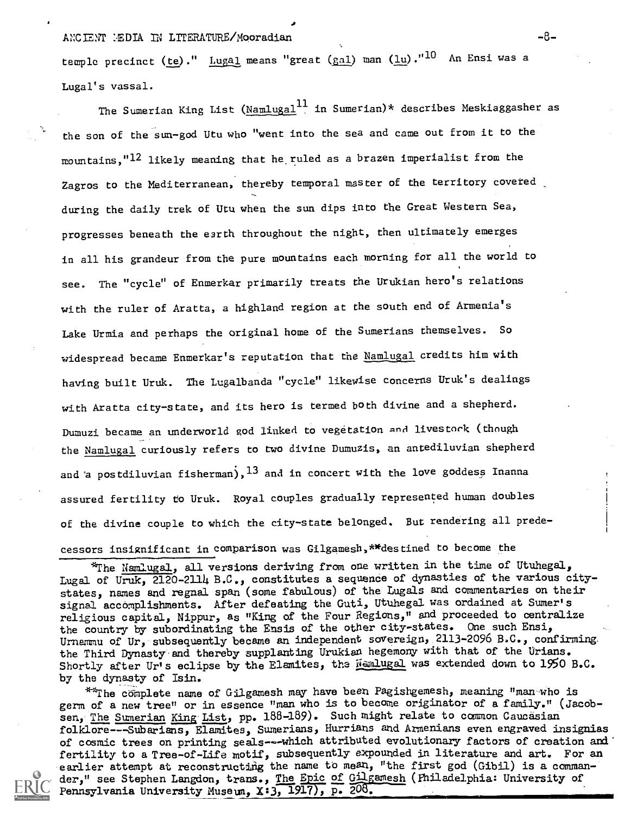## ANCIENT :EDIA IN LITERATURE/Mooradian -8-

temple precinct (te)." Lugal means "great ( $gal$ ) man (lu)." $^{10}$  An Ensi was a</u> Lugal's vassal.

The Sumerian King List ( $\text{NamLuga1}^{11}$  in Sumerian)\* describes Meskiaggasher as the son of the sun-god Utu who "went into the sea and came out from it to the mountains, "12 likely meaning that he ruled as a brazen imperialist from the Zagros to the Mediterranean, thereby temporal master of the territory covered during the daily trek of Utu when the sun dips into the Great Western Sea, progresses beneath the e3rth throughout the night, then ultimately emerges in all his grandeur from the pure mountains each morning for all the world to see. The "cycle" of Enmerkar primarily treats the Urukian hero's relations with the ruler of Aratta, a highland region at the south end of Armenia's Lake Urmia and perhaps the original home of the Sumerians themselves. So widespread became Enmerkar's reputation that the Namlugal credits him with having built Uruk. The Lugalbanda "cycle" likewise concerns Uruk's dealings with Aratta city-state, and its hero is termed both divine and a shepherd. Dumuzi became an underworld god linked to vegetation and livestork (though the Namlugal curiously refers to two divine Dumuzis, an antediluvian shepherd and a postdiluvian fisherman),  $^{13}$  and in concert with the love goddess Inanna assured fertility to Uruk. Royal couples gradually represented human doubles of the divine couple to which the city-state belonged. But rendering all predecessors insignificant in comparison was Gilgamesh,\*\*destined to become the

 $*$ The Namlugal, all versions deriving from one written in the time of Utuhegal, Lugal of Uruk, 2120-2114 B.C., constitutes a sequence of dynasties of the various citystates, names and regnal span (some fabulous) of the Lugals and commentaries on their signal accomplishments. After defeating the Guti, Utuhegal was ordained at Sumer's religious capital, Nippur, as "King of the Four Regions," and proceeded to centralize the country by subordinating the Ensis of the other city-states. One such Ensi, Urnammu of Ur, subsequently became an independent sovereign, 2113-2096 B.C., confirming the Third Dynasty and thereby supplanting Urukian hegemony with that of the Urians. Shortly after Ur's eclipse by the Elamites, the Mamlugal was extended down to 1950 B.C. by the dynasty of Isin.

\*\*The complete name of Gilgamesh may have been Pagishgemesh, meaning "man who is germ of a new tree" or in essence "man who is to become originator of a family." (Jacobsen, The Sumerian King List, pp. 188-189). Such might relate to common Caucasian folklore---Subarians, Elamites, Sumerians, Hurrians and Armenians even engraved insignias of cosmic trees on printing seals---which attributed evolutionary factors of creation and fertility to a Tree-of-Life motif, subsequently expounded in literature and art. For an earlier attempt at reconstructing the name to mean, "the first god (Gibil) is a commander," see Stephen Langdon, trans., The Epic of Gilgamesh (Philadelphia: University of Pennsylvania University Museum, X:3, 1917), p. 208.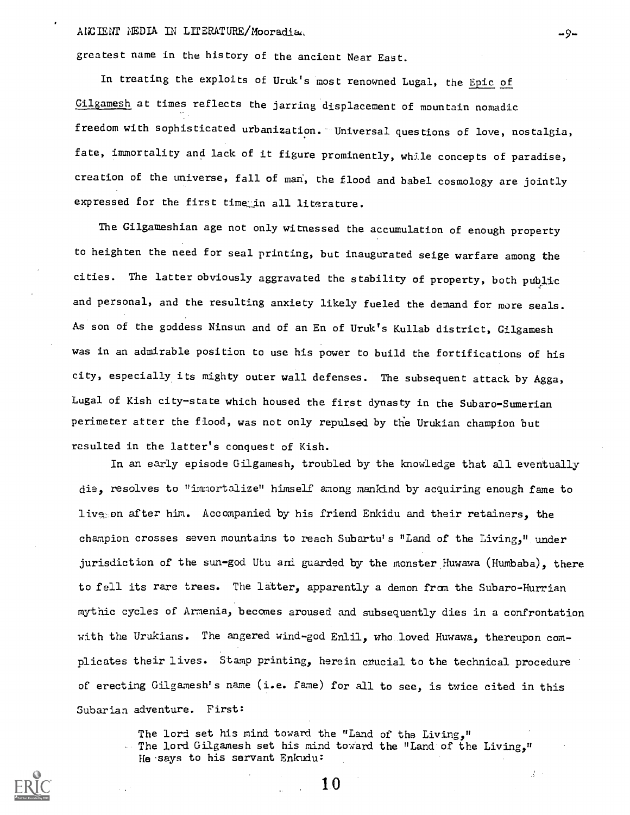### ANCIENT NEDIA IN LITERATURE/Mooradiad

greatest name in the history of the ancient Near East.

In treating the exploits of Uruk's most renowned Lugal, the Epic of Gilgamesh at times reflects the jarring displacement of mountain nomadic freedom with sophisticated urbanization. "Universal questions of love, nostalgia, fate, immortality and lack of it figure prominently, while concepts of paradise, creation of the universe, fall of man', the flood and babel cosmology are jointly expressed for the first time in all literature.

The Gilgameshian age not only witnessed the accumulation of enough property to heighten the need for seal printing, but inaugurated seige warfare among the cities. The latter obviously aggravated the stability of property, both public and personal, and the resulting anxiety likely fueled the demand for more seals. As son of the goddess Ninsun and of an En of Uruk's Kullab district, Gilgamesh was in an admirable position to use his power to build the fortifications of his city, especially its mighty outer wall defenses. The subsequent attack by Agga, Lugal of Kish city-state which housed the first dynasty in the Subaro-Sumerian perimeter atter the flood , was not only repulsed by the Urukian champion but resulted in the latter's conquest of Kish.

In an early episode Gilgamesh, troubled by the knowledge that all eventually die, resolves to "immortalize" himself among mankind by acquiring enough fame to lives on after him. Accompanied by his friend Enkidu and their retainers, the champion crosses seven mountains to reach Subartu's "Land of the Living," under jurisdiction of the sun-god Utu and guarded by the monster Huwawa (Humbaba), there to fell its rare trees. The latter, apparently a demon from the Subaro-Hurrian mythic cycles of Armenia, becomes aroused and subsequently dies in a confrontation with the Urukians. The angered wind-god Enlil, who loved Huwawa, thereupon complicates their lives. Stamp printing, herein cnucial to the technical procedure of erecting Gilgamesh's name (i.e. fame) for all to see, is twice cited in this Subarian adventure. First:

The lord set his mind toward the "Land of the Living,"  $\therefore$  The lord Gilgamesh set his mind toward the "Land of the Living," He.says to his servant Enkudu:

1 0

-9--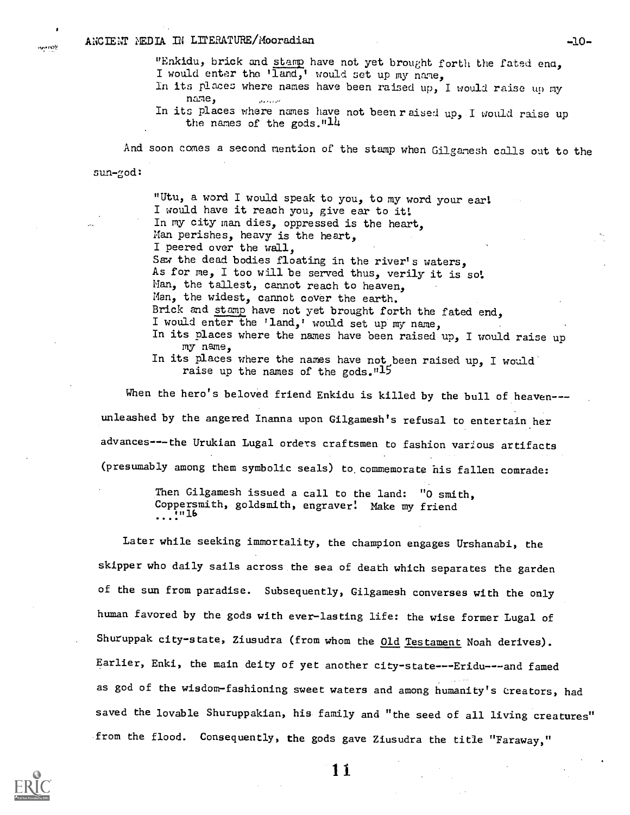"Enkidu, brick and stamp have not yet brought forth the fated end, I would enter the 'land,' would set up my name.

In its places where names have been raised up, I would raise up my name,

In its places where names have not been raised up, I would raise up the names of the gods." $14$ 

And soon comes a second mention of the stamp when Gilgamesh calls out to the

sun-god:

**Monets** 

"Utu, a word I would speak to you, to my word your earl I would have it reach you, give ear to it: In my city man dies, oppressed is the heart. Man perishes, heavy is the heart, I peered over the wall, Saw the dead bodies floating in the river's waters, As for me, I too will be served thus, verily it is so: Man, the tallest, cannot reach to heaven, Man, the widest, cannot cover the earth. Brick and stamp have not yet brought forth the fated end. I would enter the 'land,' would set up my name, In its places where the names have been raised up, I would raise up my name, In its places where the names have not been raised up, I would

raise up the names of the gods."15

When the hero's beloved friend Enkidu is killed by the bull of heaven--unleashed by the angered Inanna upon Gilgamesh's refusal to entertain her advances---the Urukian Lugal orders craftsmen to fashion various artifacts (presumably among them symbolic seals) to commemorate his fallen comrade:

> Then Gilgamesh issued a call to the land: "0 smith, Coppersmith, goldsmith, engraver: Make my friend  $\ldots$ :  $\ldots$

Later while seeking immortality, the champion engages Urshanabi, the skipper who daily sails across the sea of death which separates the garden of the sun from paradise. Subsequently, Gilgamesh converses with the only human favored by the gods with ever-lasting life: the wise former Lugal of Shuruppak city-state, Ziusudra (from whom the Old Testament Noah derives). Earlier, Enki, the main deity of yet another city-state---Eridu---and famed as god of the wisdom-fashioning sweet waters and among humanity's creators, had saved the lovable Shuruppakian, his family and "the seed of all living creatures" from the flood. Consequently, the gods gave Ziusudra the title "Faraway,"

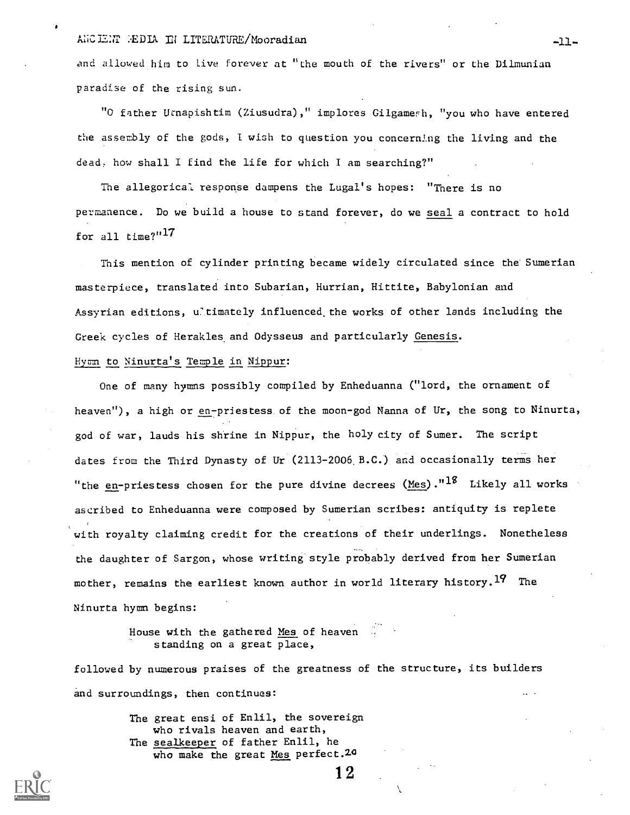### ANCIE: TEDIA IN LITERATURE/Mooradian -11-

and allowed him to Live forever at "the mouth of the rivers" or the Dilmunian paradise of the rising sun.

"0 father Urnapishtim (Ziusudra) ," implores Gilgamerh, "you who have entered the assembly of the gods, I wish to question you concerning the living and the dead, how shall I find the life for which I am searching?"

The allegorical response dampens the Lugal's hopes: "There is no permanence. Do we build a house to stand forever, do we seal a contract to hold for all time?"<sup>17</sup>

This mention of cylinder printing became widely circulated since the Sumerian masterpiece, translated into Subarian, Hurrian, Hittite, Babylonian and Assyrian editions, ultimately influenced the works of other lands including the Greek cycles of Herakles and Odysseus and particularly Genesis.

### Hymn to Ninurta's Temple in Nippur:

One of many hymns possibly compiled by Enheduanna ("lord, the ornament of heaven"), a high or en-priestess of the moon-god Nanna of Ur, the song to Ninurta, god of war, lauds his shrine in Nippur, the holy city of Sumer. The script dates from the Third Dynasty of Ur (2113-2006.B.C.) and occasionally terms her "the en-priestess chosen for the pure divine decrees (Mes)." $1^8$  Likely all works ascribed to Enheduanna were composed by Sumerian scribes: antiquity is replete with royalty claiming credit for the creations of their underlings. Nonetheless the daughter of Sargon, whose writing style probably derived from her Sumerian mother, remains the earliest known author in world literary history.<sup>19</sup> The Ninurta hymn begins:

> House with the gathered Mes of heaven standing on a great place,

followed by numerous praises of the greatness of the structure, its builders and surroundings, then continues:

> The great ensi of Enlil, the sovereign who rivals heaven and earth, The sealkeeper of father Enlil, he who make the great Mes perfect. 20

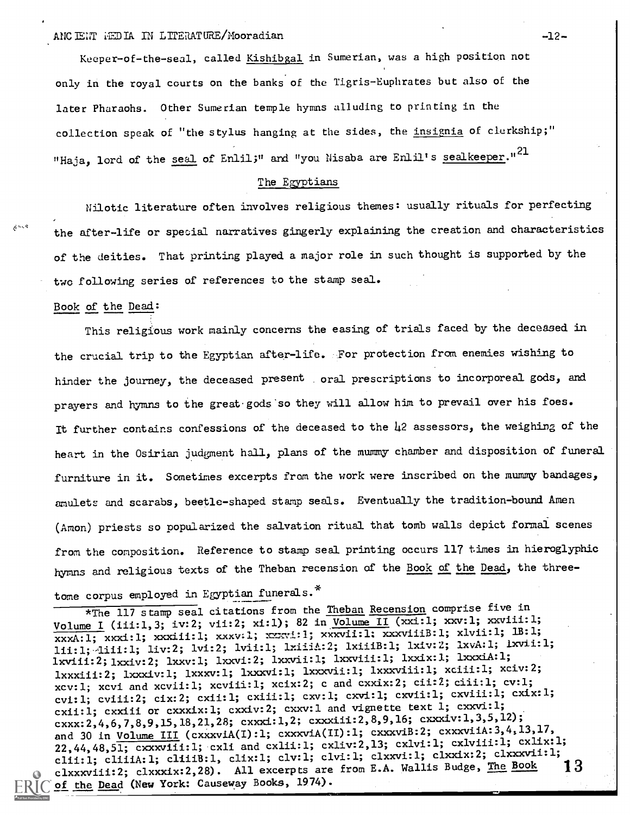### ANCIENT FEDIA IN LITERATURE/Mooradian -12-

Keeper-of-the-seal, called Kishibgal in Sumerian, was a high position not only in the royal courts on the banks of the Tigris-Euphrates but also of the later Pharaohs. Other Sumerian temple hymns alluding to printing in the collection speak of "the stylus hanging at the sides, the insignia of clerkship;" "Haja, lord of the seal of Enlil;" and "you Nisaba are Enlil's sealkeeper."<sup>21</sup>

## The Ezyptians

Nilotic literature often involves religious themes: usually rituals for perfecting the after-life or special narratives gingerly explaining the creation and characteristics of the deities. That printing played a major role in such thought is supported by the two following series of references to the stamp seal.

### Book of the Dead:

 $\delta^{\Delta\Delta\Delta}$ 

This religious work mainly concerns the easing of trials faced by the deceased in the crucial trip to the Egyptian after-life. For protection from enemies wishing to hinder the journey, the deceased present oral prescriptions to incorporeal gods, and prayers and hymns to the great gods so they will allow him to prevail over his foes. It further contains confessions of the deceased to the 42 assessors, the weighing of the heart in the Osirian judgment hall, plans of the mummy chamber and disposition of funeral furniture in it. Sometimes excerpts from the work were inscribed on the mummy bandages, amulets and scarabs, beetle-shaped stamp seals. Eventually the tradition-bound Amen (Amon) priests so popularized the salvation ritual that tomb walls depict formai scenes from the composition. Reference to stamp seal printing occurs 117 times in hieroglyphic hymns and religious texts of the Theban recension of the Book of the Dead, the three-

# tome corpus employed in Egyptian funerals.\*

\*The 117 stamp seal citations from the Theban Recension comprise five in Volume I (111:1,3; iv:2; vii:2; xi:1); 82 in Volume II (xxi:1; xxv:l; xxviii:l;  $\overline{\text{xxxA:1; xxx1:1; xxx1:1; xxx1:1; xxx1:1; xxx1:1; xxx1:1; xxx1:1; 1B:1; xxx1:1; xxx1:1; xxx1:1; xxx1:1; xxx1:1; xxx1:1; xxx1:1; xxx1:1; xxx1:1; xxx1:1; xxx1:1; xxx1:1; xxx1:1; xxx1:1; xxx1:1; xxx1:1; xxx1:1; xxx1:1; xxx1:1; xxx1:1; xxx1:1; xxx1:1; xxx1:1; xxx1:1; xxx1:1; xxx1:1; xxx1:1$ lii:1;4iii:1; liv:2; lvi:2; lvii:1; lxiiiA:2; lxiiiB:1; lxiv:2; lxvA:1; lxvii:1; lxv1i1:2;1xxiv:2; lxxv:1; lxxvi:2; lxxvii:1; lxxviii:1; lxxix:1; lxxxIA:1; lxxxiii:2; lxxxiv:1; lxxxv:1; lxxxvi:1; lxxxvii:1; lxxxviii:1; xciii:l; xciv:2; xcv:1; xcvi and xcvli:1; xcviii:l; xcix:2; c and cxxix:2; cii:2; ciii:l; cv:l; cvi:1; cviii:2; cix:2; cxii:1; cxiii:1; cxv:l; cxvi:l; cxvii:l; cxviii:l; cxix:l; cxii:1; cxxiii or cxxxix:1; cxxiv:2; cxxv:1 and vignette text 1; cxxvi:1; cxxx:2,4,6,7,8,9,15,18,21,28; cxxxi:1,2; cxxxiii:2,8,9,16; cxxxiv:1,3,5,12); and 30 in Volume III (cxxxviA(I):1; cxxxviA(II):1; cxxxviB:2; cxxxviiA:3,4,13,17, 22,44,48,51;  $\overline{\text{cxxv1i}:l}$ ;  $\text{cxli}$  and  $\text{cxli}:l$ ;  $\text{cxli}:l$ ;  $\text{cxli}:l$ ;  $\text{cxli}:l$ ;  $\text{cxli}:l$ ;  $\text{cxli}:l$ ; clii:1; cliiiA:1; cliiiB:1, clix:1; clv:1; clvi:1; clxxvi:1; clxxix:2; clxxxvii:1;<br>clynometrial: clyvydy:2,28) All excerpts are from E.A. Wallis Budge, The Book 13 clxxxviii:2; clxxxix:2,28). All excerpts are from E.A. Wallis Budge, The Book of the Dead (New York: Causeway Books, 1974).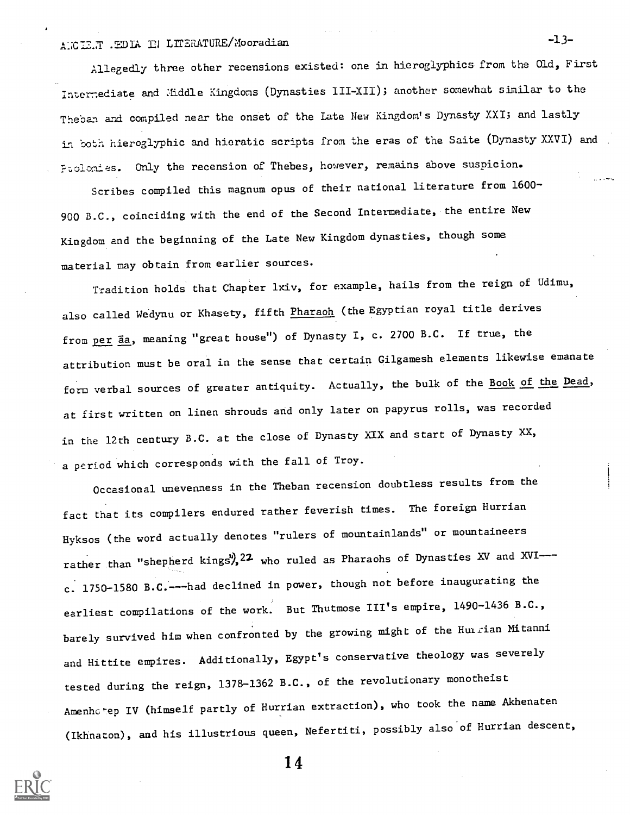# ANCIENT .EDIA IN LITERATURE/Mooradian -13-

Allegedly three other recensions existed: one in hieroglyphics from the Old, First Interrediate and Aiddle Kingdoms (Dynasties III-XII); another somewhat similar to the Theban and compiled near the onset of the Late New Kingdom's Dynasty XXI; and lastly in both hieroglyphic and hieratic scripts from the eras of the Saite (Dynasty-XXVI) and Ptolomies. Only the recension of Thebes, however, remains above suspicion.

Scribes compiled this magnum opus of their national literature from 1600- 900 B.C., coinciding with the end of the Second Intermediate, the entire New Kingdom and the beginning of the Late New Kingdom dynasties, though some material may obtain from earlier sources.

Tradition holds that Chapter lxiv, for example, hails from the reign of  $\mathtt{Udimu}$ , also called Wedynu or Khasety, fifth Pharaoh (the Egyptian royal title derives from per  $\overline{a}a$ , meaning "great house") of Dynasty I, c. 2700 B.C. If true, the attribution must be oral in the sense that certain Gilgamesh elements likewise emanate form verbal sources of greater antiquity. Actually, the bulk of the Book of the Dead, at first written on linen shrouds and only later on papyrus rolls, was recorded in the 12th century B.C. at the close of Dynasty XIX and start of Dynasty XX, a period which corresponds with the fall of Troy.

Occasional unevenness in the Theban recension doubtless results from the fact that its compilers endured rather feverish times. The foreign Hurrian Hyksos (the word actually denotes "rulers of mountainlands" or mountaineers rather than "shepherd kings",  $22$  who ruled as Pharaohs of Dynasties XV and XVI--c. 1750-1580 B.C:---had declined in power, though not before inaugurating the earliest compilations of the work. But Thutmose III's empire, 1490-1436 B.C., barely survived him when confronted by the growing might of the Humrian Mitanni and Hittite empires. Additionally, Egypt's conservative theology was severely tested during the reign, 1378-1362 B.C., of the revolutionary monotheist Amenhctep IV (himself partly of Hurrian extraction), who took the name Akhenaten (Ikhnaton), and his illustrious queen, Nefertiti, possibly also of Hurrian descent,

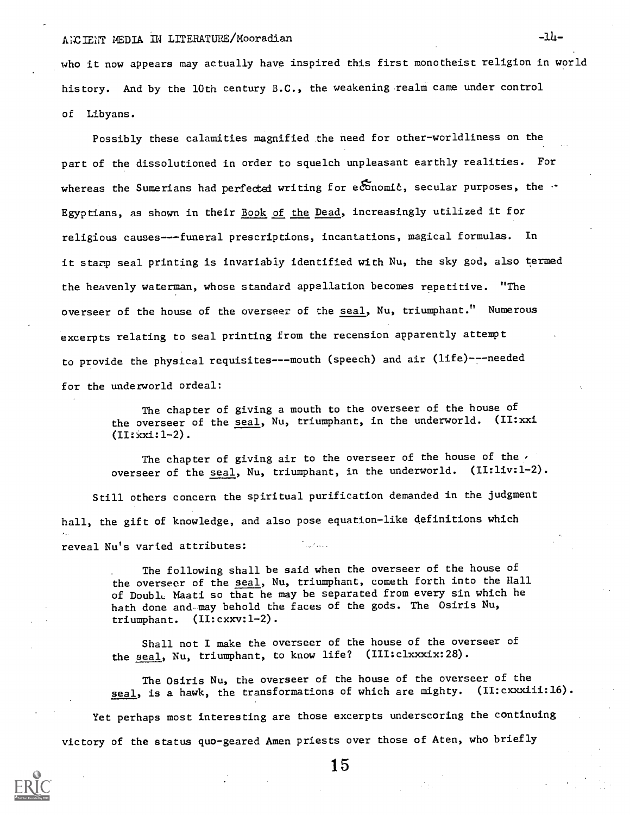## AICIENT MEDIA IN LITERATURE/Mooradian

who it now appears may actually have inspired this first monotheist religion in world history. And by the 10th century B.C., the weakening realm came under control of Libyans.

Possibly these calamities magnified the need for other-worldliness on the part of the dissolutioned in order to squelch unpleasant earthly realities. For whereas the Sumerians had perfected writing for economic, secular purposes, the  $\cdot$ Egyptians, as shown in their Book of the Dead, increasingly utilized it for religious causes---funeral prescriptions, incantations, magical formulas. In it starp seal printing is invariably identified with Nu, the sky god, also termed the heavenly waterman, whose standard appellation becomes repetitive. "The overseer of the house of the overseer of the seal, Nu, triumphant." Numerous excerpts relating to seal printing from the recension apparently attempt to provide the physical requisites---mouth (speech) and air (life)---needed for the underworld ordeal:

The chapter of giving a mouth to the overseer of the house of the overseer of the seal, Nu, triumphant, in the underworld. (II:xxi  $(II:xx1:1-2)$ .

The chapter of giving air to the overseer of the house of the  $\prime$ overseer of the seal, Nu, triumphant, in the underworld. (II:liv:1-2).

Still others concern the spiritual purification demanded in the judgment hall, the gift of knowledge, and also pose equation-like definitions which reveal Nu's varied attributes:

> The following shall be said when the overseer of the house of the overseer of the seal, Nu, triumphant, cometh forth into the Hall of Double Maati so that he may be separated from every sin which he hath done and-may behold the faces of the gods. The Osiris Nu, triumphant. (II:cxxv:I-2).

Shall not I make the overseer of the house of the overseer of the seal, Nu, triumphant, to know life? (III:clxxxix:28).

The Osiris Nu, the overseer of the house of the overseer of the seal, is a hawk, the transformations of which are mighty. (II: cxxxiii: 16).

Yet perhaps most interesting are those excerpts underscoring the continuing victory of the status quo-geared Amen priests over those of Aten, who briefly

 $-1h-$ 

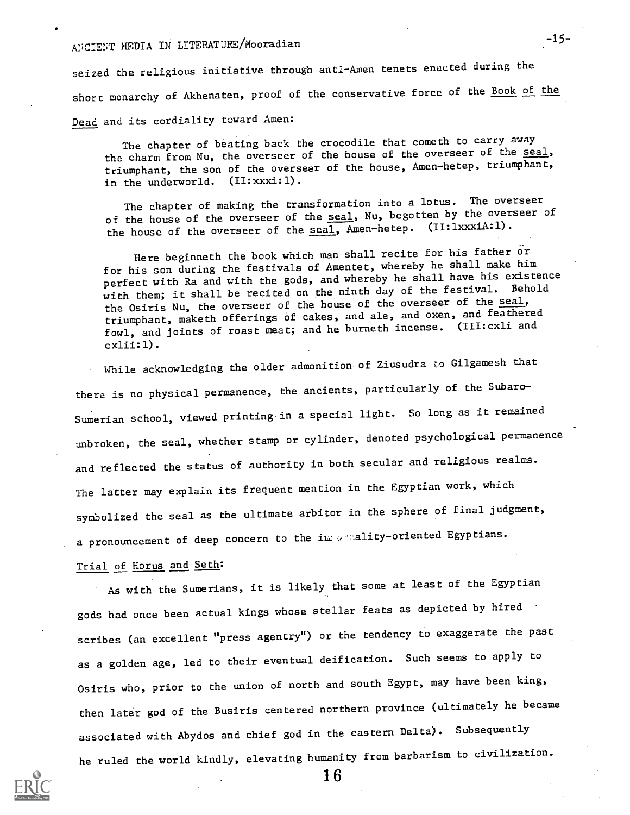# IM;CIENT MEDIA IN LITERATURE/Mooradian

seized the religious initiative through anti-Amen tenets enacted during the short monarchy of Akhenaten, proof of the conservative force of the Book of the Dead and its cordiality toward Amen:

The chapter of beating back the crocodile that cometh to carry away the charm from Nu, the overseer of the house of the overseer of the seal, triumphant, the son of the overseer of the house, Amen-hetep, triumphant, in the underworld. (II:xxxi:1).

The chapter of making the transformation into a lotus. The overseer of the house of the overseer of the seal, Nu, begotten by the overseer of the house of the overseer of the  $\overline{seal}$ , Amen-hetep. (II:lxxxiA:1).

Here beginneth the book which man shall recite for his father or for his son during the festivals of Amentet, whereby he shall make him perfect with Ra and with the gods, and whereby he shall have his existence with them; it shall be recited on the ninth day of the festival. Behold the Osiris Nu, the overseer of the house of the overseer of the seal, triumphant, maketh offerings of cakes, and ale, and oxen, and feathered fowl, and joints of roast meat; and he burneth incense. (III:cxli and cxlii:1).

While acknowledging the older admonition of Ziusudra to Gilgamesh that there is no physical permanence, the ancients, particularly of the Subaro-Sumerian school, viewed printing in a special light. So long as it remained unbroken, the seal, whether stamp or cylinder, denoted psychological permanence and reflected the status of authority in both secular and religious realms. The latter may explain its frequent mention in the Egyptian work, which symbolized the seal as the ultimate arbitor in the sphere of final judgment, a pronouncement of deep concern to the importanty-oriented Egyptians.

### Trial of Horus and Seth:

As with the Sumerians, it is likely that some at least of the Egyptian gods had once been actual kings whose stellar feats as depicted by hired scribes (an excellent "press agentry") or the tendency to exaggerate the past as a golden age, led to their eventual deification. Such seems to apply to Osiris who, prior to the union of north and south Egypt, may have been king, then later god of the Busiris centered northern province (ultimately he became associated with Abydos and chief god in the eastern Delta). Subsequently he ruled the world kindly, elevating humanity from barbarism to civilization.



1 6

 $-15-$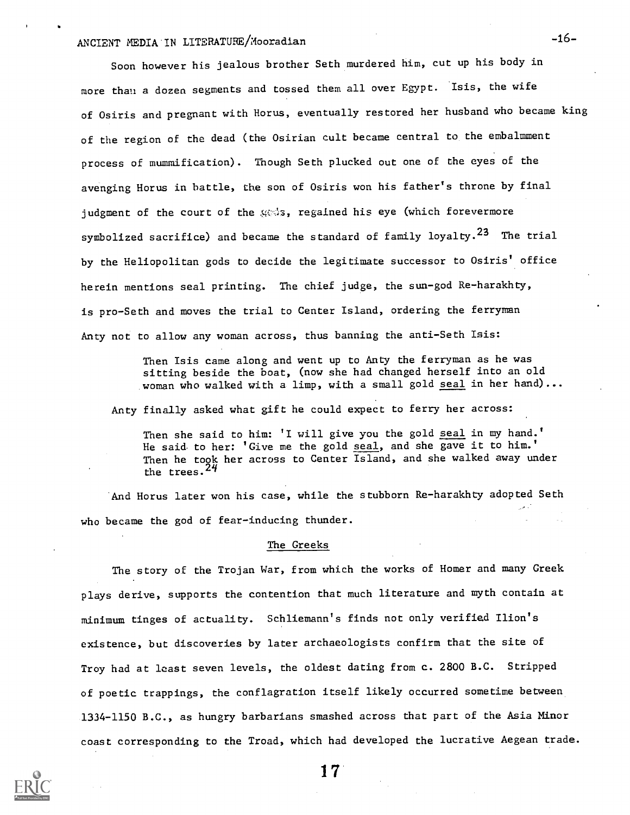# ANCIENT MEDIA IN LITERATURE/Mooradian -16-

Soon however his jealous brother Seth murdered him, cut up his body in more than a dozen segments and tossed them all over Egypt. 'Isis, the wife of Osiris and pregnant with Horus, eventually restored her husband who became king of the region of the dead (the Osirian cult became central to the embalmment process of mummification). Though Seth plucked out one of the eyes of the avenging Horus in battle, the son of Osiris won his father's throne by final judgment of the court of the gods, regained his eye (which forevermore symbolized sacrifice) and became the standard of family loyalty.<sup>23</sup> The trial by the Heliopolitan gods to decide the legitimate successor to Osiris' office herein mentions seal printing. The chief judge, the sun-god Re-harakhty, is pro-Seth and moves the trial to Center Island, ordering the ferryman Anty not to allow any woman across, thus banning the anti-Seth Isis:

> Then Isis came along and went up to Anty the ferryman as he was sitting beside the boat, (now she had changed herself into an old woman who walked with a limp, with a small gold seal in her hand)...

Anty finally asked what gift he could expect to ferry her across:

Then she said to him: 'I will give you the gold seal in my hand.' He said to her: 'Give me the gold seal, and she gave it to him.' Then he took her across to Center Island, and she walked away under the trees.  $24$ 

And Horus later won his case, while the stubborn Re-harakhty adopted Seth who became the god of fear-inducing thunder.

### The Greeks

The story of the Trojan War, from which the works of Homer and many Greek plays derive, supports the contention that much literature and myth contain at minimum tinges of actuality. Schliemann's finds not only verified Ilion's existence, but discoveries by later archaeologists confirm that the site of Troy had at least seven levels, the oldest dating from c. 2800 B.C. Stripped of poetic trappings, the conflagration itself likely occurred sometime between 1334-1150 B.C., as hungry barbarians smashed across that part of the Asia Minor coast corresponding to the Troad, which had developed the lucrative Aegean trade.

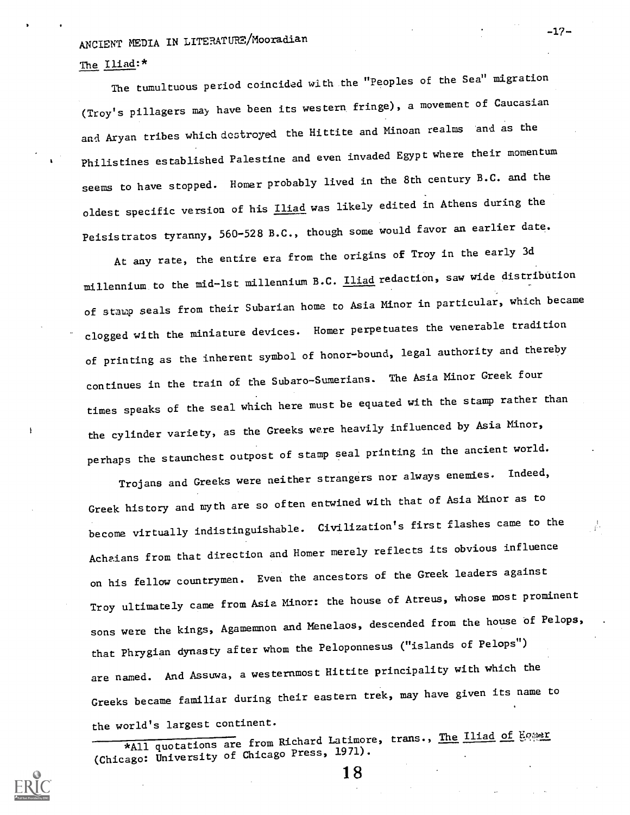# ANCIENT MEDIA IN LITERATURE/Moozadian

## The Iliad:\*

The tumultuous period coincided with the "Peoples of the Sea" migration (Troy's pillagers may have been its western fringe), a movement of Caucasian and Aryan tribes which destroyed the Hittite and Minoan realms and as the Philistines established Palestine and even invaded Egypt where their momentum seems to have stopped. Homer probably lived in the 8th century B.C. and the oldest specific version of his *Iliad* was likely edited in Athens during the Peisistratos tyranny, 560-528 B.C., though some would favor an earlier date.

At any rate, the entire era from the origins of Troy in the early 3d millennium to the mid-lst millennium B.C. Iliad redaction, saw wide distribution of staup seals from their Subarian home to Asia Minor in particular, which became clogged with the miniature devices. Homer perpetuates the venerable tradition of printing as the inherent symbol of honor-bound, legal authority and thereby continues in the train of the Subaro-Sumerians. The Asia Minor Greek four times speaks of the seal which here must be equated with the stamp rather than the cylinder variety, as the Greeks were heavily influenced by Asia Minor, perhaps the staunchest outpost of stamp seal printing in the ancient world.

Trojans and Greeks were neither strangers nor always enemies. Indeed, Greek history and myth are so often entwined with that of Asia Minor as to become virtually indistinguishable. Civilization's first flashes came to the Achaians from that direction and Homer merely reflects its obvious influence on his fellow countrymen. Even the ancestors of the Greek leaders against Troy ultimately came from Asia Minor: the house of Atreus, whose most prominent sons were the kings, Agamemmon and Menelaos, descended from the house of Pelops, that Phrygian dynasty after whom the Peloponnesus ("islands of Pelops") are named. And Assuwa, a westernmost Hittite principality with which the Greeks became familiar during their eastern trek, may have given its name to the world's largest continent.

\*All quotations are from Richard Latimore, trans., The Iliad of Ho;ser (Chicago: University of Chicago Press, 1971).



-17-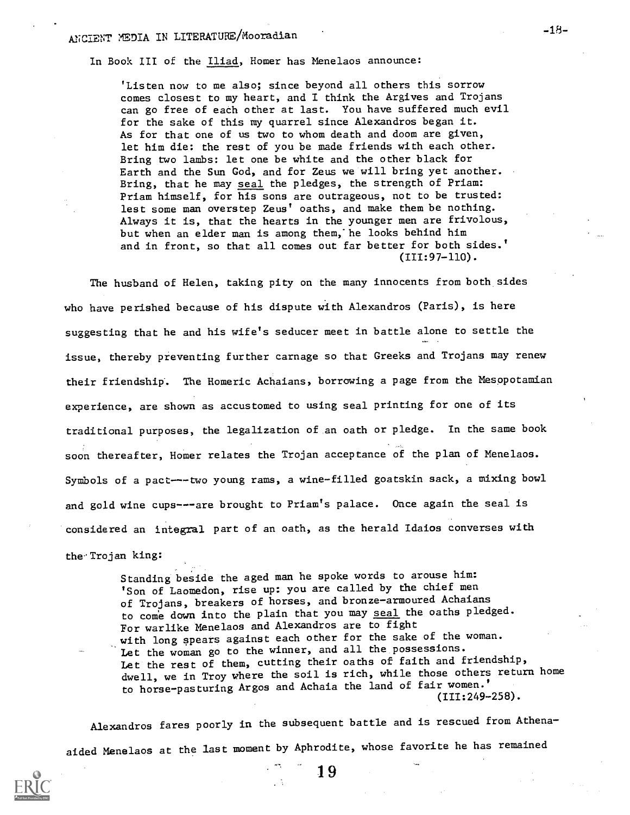In Book III of the Iliad, Homer has Menelaos announce:

'Listen now to me also; since beyond all others this sorrow comes closest to my heart, and I think the Argives and Trojans can go free of each other at last. You have suffered much evil for the sake of this my quarrel since Alexandros began it. As for that one of us two to whom death and doom are given, let him die: the rest of you be made friends with each other. Bring two lambs: let one be white and the other black for Earth and the Sun God, and for Zeus we will bring yet another. Bring, that he may seal the pledges, the strength of Priam: Priam himself, for his sons are outrageous, not to be trusted: lest some man overstep Zeus' oaths, and make them be nothing. Always it is, that the hearts in the younger men are frivolous, but when an elder man is among them,'he looks behind him and in front, so that all comes out far better for both sides.' (III:97-110).

The husband of Helen, taking pity on the many innocents from both sides who have perished because of his dispute with Alexandros (Paris), is here suggesting that he and his wife's seducer meet in battle alone to settle the issue, thereby preventing further carnage so that Greeks and Trojans may renew their friendship. The Homeric Achaians, borrowing a page from the Mesopotamian experience, are shown as accustomed to using seal printing for one of its traditional purposes, the legalization of an oath or pledge. In the same book soon thereafter, Homer relates the Trojan acceptance of the plan of Menelaos. Symbols of a pact---two young rams, a wine-filled goatskin sack, a mixing bowl and gold wine cups---are brought to Priam's palace. Once again the seal is considered an integral part of an oath, as the herald Idaios converses with the-Trojan king:

> Standing beside the aged man he spoke words to arouse him: 'Son of Laomedon, rise up: you are called by the chief men of Trojans, breakers of horses, and bronze-armoured Achaians to come down into the plain that you may seal the oaths pledged. For warlike Menelaos and Alexandros are to fight with long spears against each other for the sake of the woman. Let the woman go to the winner, and all the possessions. Let the rest of them, cutting their oaths of faith and friendship, dwell, we in Troy where the soil is rich, while those others return home to horse-pasturing Argos and Achaia the land of fair women.' (III:249-258).

Alexandros fares poorly in the subsequent battle and is rescued from Athenaaided Menelaos at the last moment by Aphrodite, whose favorite he has remained

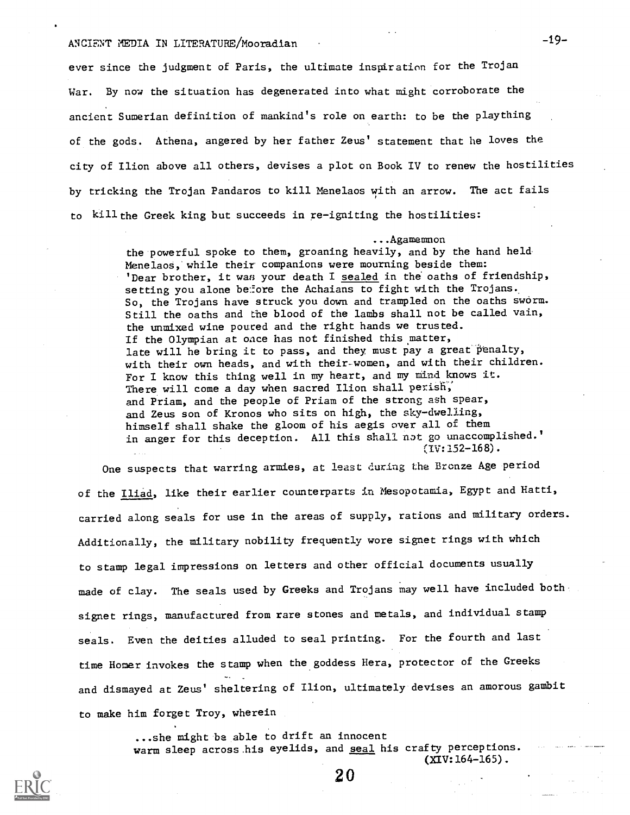# ANCIENT MEDIA IN LITERATURE/Mooradian -19-

ever since the judgment of Paris, the ultimate inspiration for the Trojan War. By now the situation has degenerated into what might corroborate the ancient Sumerian definition of mankind's role on earth: to be the plaything of the gods. Athena, angered by her father Zeus' statement that he loves the city of Ilion above all others, devises a plot on Book IV to renew the hostilities by tricking the Trojan Pandaros to kill Menelaos with an arrow. The act fails to kill the Greek king but succeeds in re-igniting the hostilities:

#### ...Agamemnon

the powerful spoke to them, groaning heavily, and by the hand held. MenelaoS, while their companions were mourning beside them: 'Dear brother, it was your death I sealed in the oaths of friendship, setting you alone before the Achaians to fight with the Trojans. So, the Trojans have struck you down and trampled on the oaths sworm. Still the oaths and the blood of the lambs shall not be called vain, the unmixed wine poured and the right hands we trusted. If the Olympian at oace has not finished this matter, late will he bring it to pass, and they must pay a great penalty, with their own heads, and with their-women, and with their children. For I know this thing well in my heart, and my mind knows it. There will come a day when sacred Ilion shall perish, and Priam, and the people of Priam of the strong ash spear, and Zeus son of Kronos who sits on high, the sky-dwelling, himself shall shake the gloom of his aegis over all of them in anger for this deception. All this shall not go unaccomplished.'  $(IV:152-168)$ .

One suspects that warring armies, at least during the Bronze Age period of the Iliad, like their earlier counterparts in Mesopotamia, Egypt and Hatti, carried along seals for use in the areas of supply, rations and military orders. Additionally, the military nobility frequently wore signet rings with which to stamp legal impressions on letters and other official documents usually made of clay. The seals used by Greeks and Trojans may well have included both signet rings, manufactured from rare stones and metals, and individual stamp seals. Even the deities alluded to seal printing. For the fourth and last time Homer invokes the stamp when the goddess Hera, protector of the Greeks and dismayed at Zeus' sheltering of Ilion, ultimately devises an amorous gambit to make him forget Troy, wherein

> ...she might be able to drift an innocent warm sleep across his eyelids, and seal his crafty perceptions. (XIV:164-165).

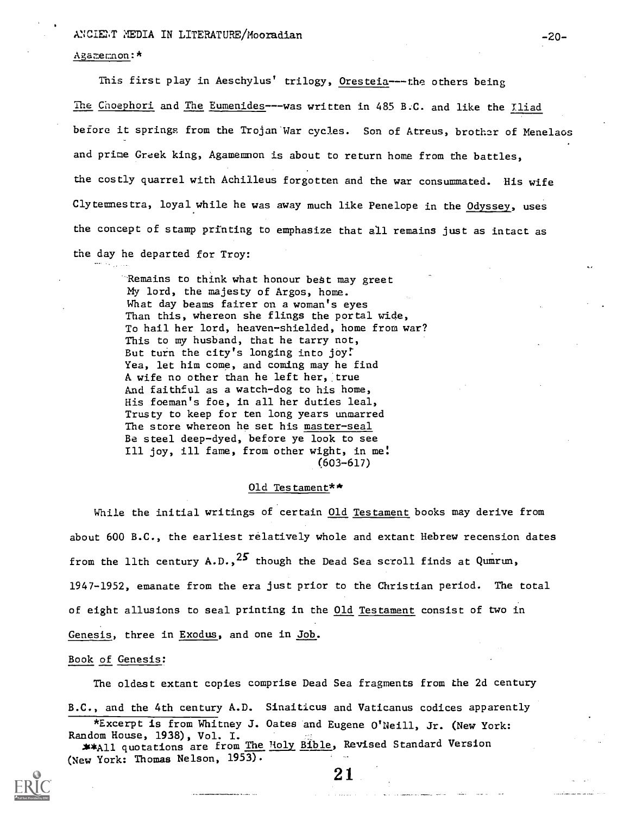### ANCIENT MEDIA IN LITERATURE/Mooradian -20-

### Agamemon: \*

This first play in Aeschylus' trilogy, Oresteia----the others being The Choephori and The Eumenides---was written in 485 B.C. and like the Iliad before it springs from the Trojan War cycles. Son of Atreus, brother of Menelaos and prime Greek king, Agamemmon is about to return home from the battles, the costly quarrel with Achilleus forgotten and the war consummated. His wife Clytemnestra, loyal.while he was away much like Penelope in the Odyssey, uses the concept of stamp printing to emphasize that all remains just as intact as the day he departed for Troy:

Remains to think what honour best may greet My lord, the majesty of Argos, home. What day beams fairer on a woman's eyes Than this, whereon she flings the portal wide, To hail her lord, heaven-shielded, home from war? This to my husband, that he tarry not, But turn the city's longing into joy: Yea, let him come, and coming may he find A wife no other than he left her, true And faithful as a watch-dog to his home, His foeman's foe, in all her duties leal, Trusty to keep for ten long years unmarred The store whereon he set his master-seal Be steel deep-dyed, before ye look to see Ill joy, ill fame, from other wight, in me: (603-617)

### Old Testament\*\*

While the initial writings of certain Old Testament books may derive from about 600 B.C., the earliest relatively whole and extant Hebrew recension dates from the llth century A.D.,  $25$  though the Dead Sea scroll finds at Qumrun, 1947-1952, emanate from the era just prior to the Christian period. The total of eight allusions to seal printing in the Old Testament consist of two in Genesis, three in Exodus, and one in Job.

### Book of Genesis:

The oldest extant copies comprise Dead Sea fragments from the 2d century B.C., and the 4th century A.D. Sinaiticus and Vaticanus codices apparently

\*Excerpt is from Whitney J. Oates and Eugene O'Neill, Jr. (New York: Random House, 1938), Vol. I. \*\*All quotations are from The Holy Bible, Revised Standard Version (New York: Thomas Nelson, 1953).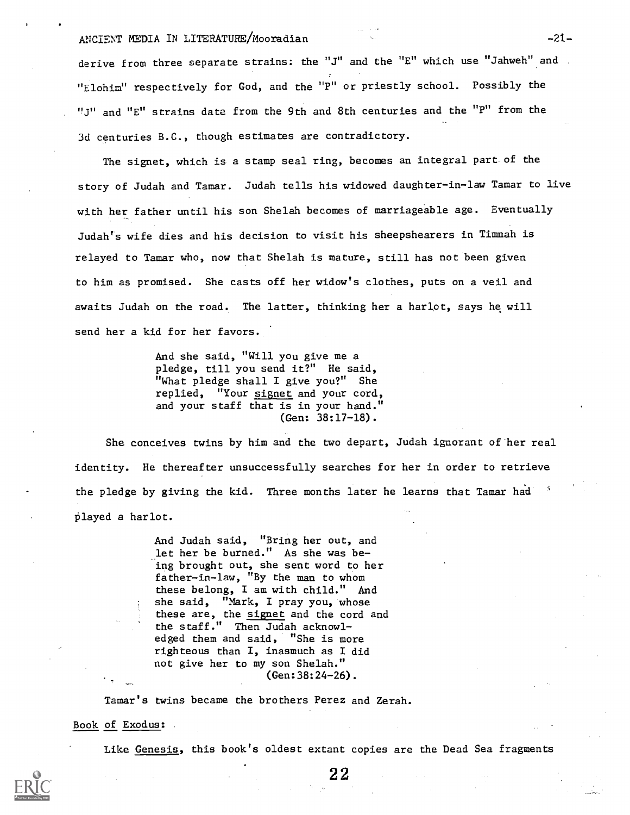### ANCIENT MEDIA IN LITERATURE/Mooradian -21-

derive from three separate strains: the "J" and the "E" which use "Jahweh" and "Elohim" respectively for God, and the "P" or priestly school. Possibly the "J" and "E" strains date from the 9th and 8th centuries and the "P" from the 3d centuries B.C., though estimates are contradictory.

The signet, which is a stamp seal ring, becomes an integral part of the story of Judah and Tamar. Judah tells his widowed daughter-in-law Tamar to live with her father until his son Shelah becomes of marriageable age. Eventually Judah's wife dies and his decision to visit his sheepshearers in Timnah is relayed to Tamar who, now that Shelah is mature, still has not been given to him as promised. She casts off her widow's clothes, puts on a veil and awaits Judah on the road. The latter, thinking her a harlot, says he will send her a kid for her favors.

> And she said, "Will you give me a pledge, till you send it?" He said, "What pledge shall I give you?" She replied, "Your signet and your cord, and your staff that is in your hand." (Gen: 38:17-18).

She conceives twins by him and the two depart, Judah ignorant of her real identity. He thereafter unsuccessfully searches for her in order to retrieve the pledge by giving the kid. Three months later he learns that Tamar had  $\beta$ played a harlot.

> And Judah said, "Bring her out, and let her be burned." As she was being brought out, she sent word to her father-in-law, "By the man to whom these belong, I am with child." And she said, "Mark, I pray you, whose these are, the signet and the cord and the staff." Then Judah acknowledged them and said, "She is more righteous than I, inasmuch as I did not give her to my son Shelah." (Gen:38:24-26).

Tamar's twins became the brothers Perez and Zerah.

### Book of Exodus:

Like Genesis, this book's oldest extant copies are the Dead Sea fragments

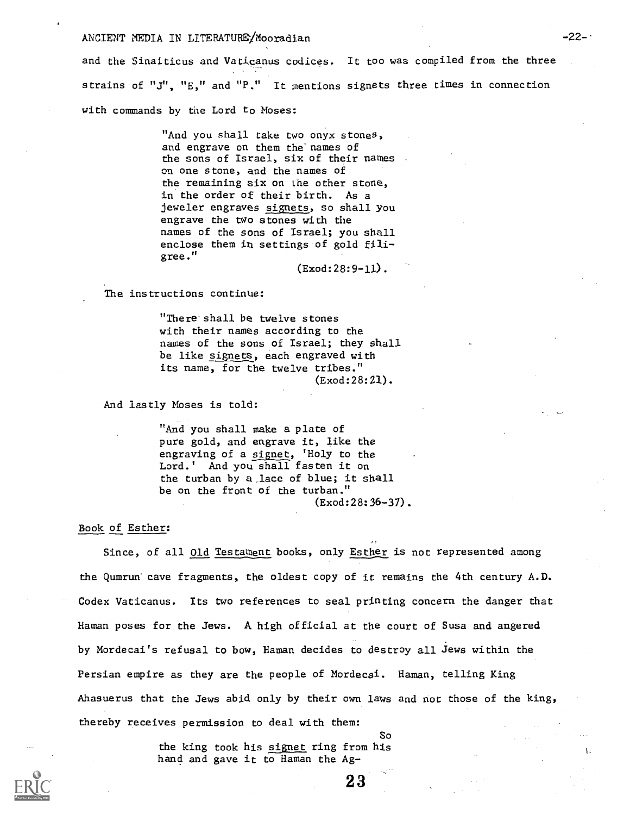### ANCIENT MEDIA IN LITERATURE/Mooradian

and the Sinaiticus and Vaticanus codices. It too was compiled from the three strains of "J", "E," and "P." It mentions signets three times in connection with commands by the Lord to Moses:

> "And you shall take two onyx stones, and engrave on them the names of the sons of Israel, six of their names on one stone, and the names of the remaining six on the other stone, in the order of their birth. As a jeweler engraves signets, so shall You engrave the two stones with the names of the sons of Israel; you shall enclose them in settings of gold filigree."

> > (Exod:28:9-ll).

The instructions continue:

"There shall be twelve stones with their names according to the names of the sons of Israel; they shall be like signets, each engraved with its name, for the twelve tribes." (Exod:28:21).

And lastly Moses is told:

"And you shall make a plate of pure gold, and engrave it, like the engraving of a signet, 'Holy to the Lord.' And you shall fasten it on the turban by a lace of blue; it shall be on the front of the turban." (Exod:28:36-37).

### Book of Esther:

Since, of all Old Testament books, only Esther is not represented among the Qumrun cave fragments, the oldest copy of it remains the 4th century A.D. Codex Vaticanus. Its two references to seal printing concern the danger that Haman poses for the Jews. A high official at the court of Susa and angered by Mordecai's refusal to bow, Haman decides to destroy all Jews within the Persian empire as they are the people of Mordecai. Haman, telling King Ahasuerus that the Jews abid only by their own laws and not those of the king, thereby receives permission to deal with them:

> the king took his signet ring from his hand and gave it to Haman the Ag-

So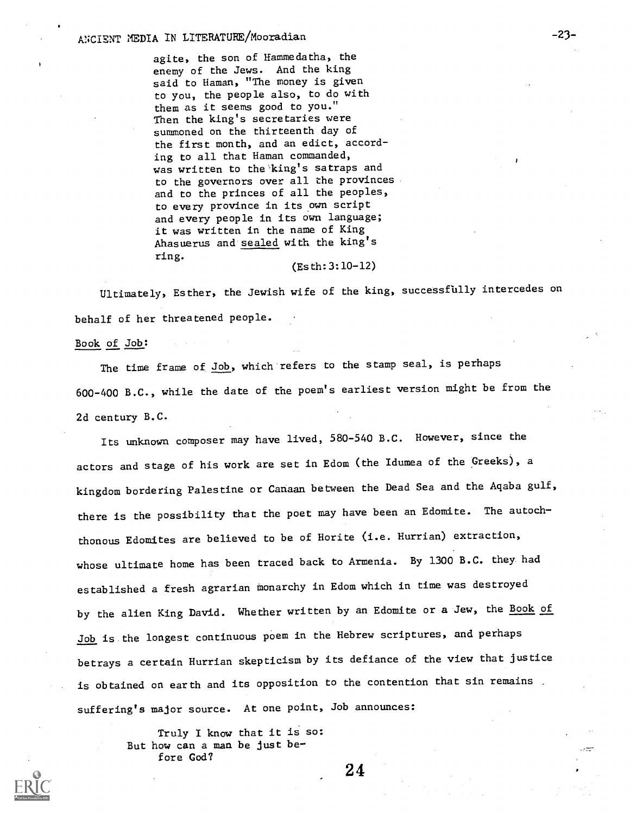# ANCIENT MEDIA IN LITERATURE/Mooradian -23-

agite, the son of Hammedatha, the enemy of the Jews. And the king said to Haman, "The money is given to you, the people also, to do with them as it seems good to you." Then the king's secretaries were summoned on the thirteenth day of the first month, and an edict, according to all that Haman commanded, was written to the king's satraps and to the governors over all the provinces and to the princes of all the peoples, to every province in its own script and every people in its own language; it was written in the name of King Ahasuerus and sealed with the king's ring.

#### (Esth:3:10-12)

Ultimately, Esther, the Jewish wife of the king, successfully intercedes on behalf of her threatened people.

Book of Job:

The time frame of Job, which refers to the stamp seal, is perhaps 600-400 B.C., while the date of the poem's earliest version might be from the 2d century B.C.

Its unknown composer may have lived, 580-540 B.C. However, since the actors and stage of his work are set in Edom (the Idumea of the Greeks), a kingdom bordering Palestine or Canaan between the Dead Sea and the Aqaba gulf, there is the possibility that the poet may have been an Edomite. The autochthonous Edomites are believed to be of Horite (i.e. Hurrian) extraction, whose ultimate home has been traced back to Armenia. By 1300 B.C. they. had established a fresh agrarian monarchy in Edom which in time was destroyed by the alien King David. Whether written by an Edomite or a Jew, the Book of Job is the longest continuous poem in the Hebrew scriptures, and perhaps betrays a certain Hurrian skepticism by its defiance of the view that justice is obtained on earth and its opposition to the contention that sin remains. suffering's major source. At one point, Job announces:

> Truly I know that it is so: But how can a man be just before God?

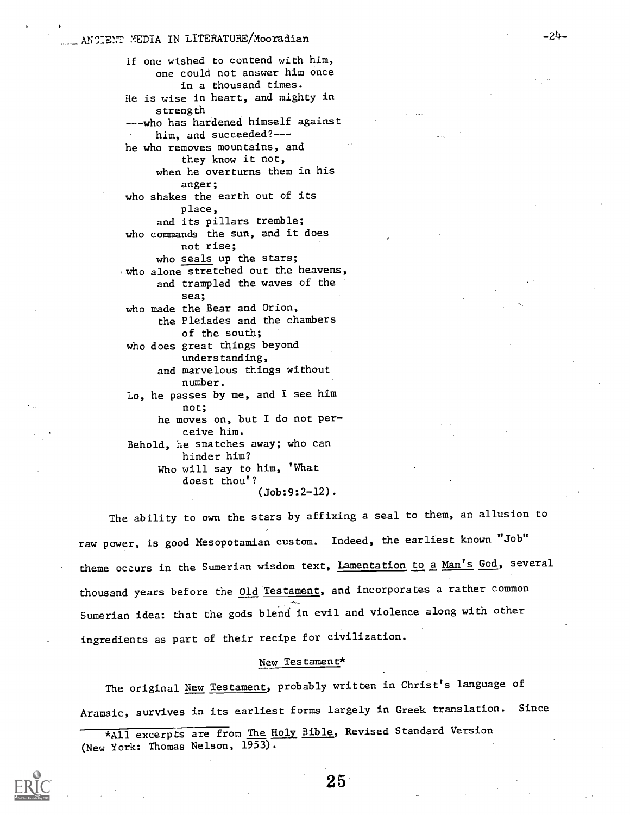## LANOIENT MEDIA IN LITERATURE/Mooradian -24-

if one wished to contend with him, one could not answer him once in a thousand times. He is wise in heart, and mighty in strength ---who has hardened himself against him, and succeeded?-- he who removes mountains, and they know it not, when he overturns them in his anger; who shakes the earth out of its place, and its pillars tremble; who commands the sun, and it does not rise; who seals up the stars; who alone stretched out the heavens, and trampled the waves of the sea; who made the Bear and Orion, the Pleiades and the chambers of the south; who does great things beyond understanding, and marvelous things without number. Lo, he passes by me, and I see him not; he moves on, but I do not perceive him. Behold, he snatches away; who can hinder him? Who will say to him, 'What

> doest thou'? (Job:9:2-12).

The ability to own the stars by affixing a seal to them, an allusion to raw power, is good Mesopotamian custom. Indeed, the earliest known "Job" theme occurs in the Sumerian wisdom text, Lamentation to a Man's God, several thousand years before the **Old Testament**, and incorporates a rather common Sumerian idea: that the gods blend in evil and violence along with other ingredients as part of their recipe for civilization.

### New Testament\*

The original New Testament, probably written in Christ's language of Aramaic, survives in its earliest forms largely in Greek translation. Since

\*All excerpts are from The Holy Bible, Revised Standard Version (New York: Thomas Nelson, 1953).

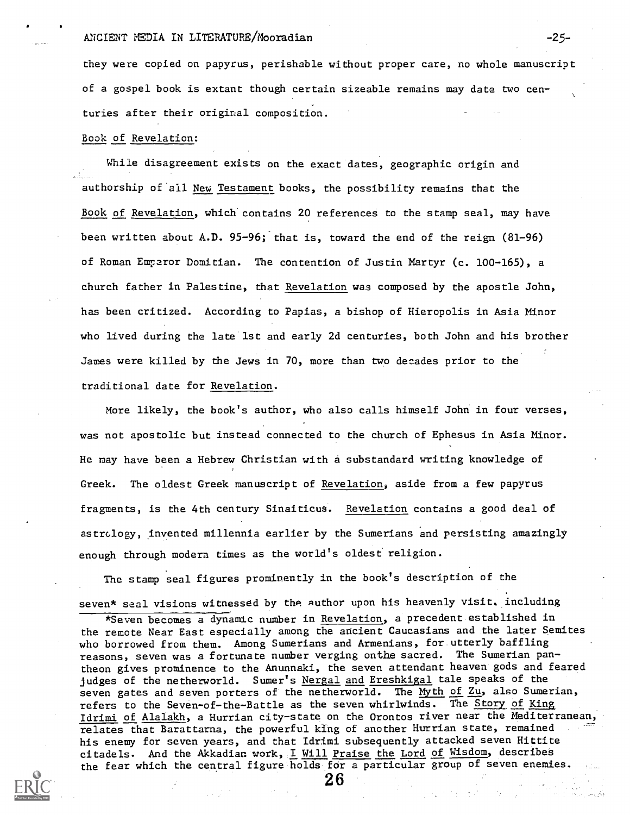### ANCIENT MEDIA IN LITERATURE/Mooradian -25-

they were copied on papyrus, perishable without proper care, no whole manuscript of a gospel book is extant though certain sizeable remains may date two centuries after their original composition.

### Book of Revelation:

While disagreement exists on the exact dates, geographic origin and authorship of all New Testament books, the possibility remains that the Book of Revelation, which contains 20 references to the stamp seal, may have been written about A.D. 95-96; that is, toward the end of the reign (81-96) of Roman Emparor Domitian. The contention of Justin Martyr (c. 100-165), a church father in Palestine, that Revelation was composed by the apostle John, has been critized. According to Papias, a bishop of Hieropolis in Asia Minor who lived during the late 1st and early 2d centuries, both John and his brother James were killed by the Jews in 70, more than two decades prior to the traditional date for Revelation.

More likely, the book's author, who also calls himself John in four verses, was not apostolic but instead connected to the church of Ephesus in Asia Minor. He may have been a Hebrew Christian with a substandard writing knowledge of Greek. The oldest Greek manuscript of Revelation, aside from a few papyrus fragments, is the 4th century Sinaiticus. Revelation contains a good deal of astrology, invented millennia earlier by the Sumerians and persisting amazingly enough through modern times as the world's oldest religion.

The stamp seal figures prominently in the book's description of the seven\* seal visions witnessed by the Author upon his heavenly visit, including

<sup>\*</sup>Seven becomes a dynamic number in Revelation, a precedent established in the remote Near East especially among the ancient Caucasians and the later Semites who borrowed from them. Among Sumerians and Armenians, for utterly baffling reasons, seven was a fortunate number verging onthe sacred. The Sumerian pantheon gives prominence to the Anunnaki, the seven attendant heaven gods and feared judges of the netherworld. Sumer's Nergal and Ereshkigal tale speaks of the seven gates and seven porters of the netherworld. The Myth of Zu, also Sumerian, refers to the Seven-of-the-Battle as the seven whirlwinds. The Story of King Idrimi of Alalakh, a Hurrian city-state on the Orontos river near the Mediterranean, relates that Barattarna, the powerful king of another Hurrian state, remained his enemy for seven years, and that Idrimi subsequently attacked seven Hittite citadels. And the Akkadian work, I Will Praise the Lord of Wisdom, describes the fear which the central figure holds for a particular group of seven enemies.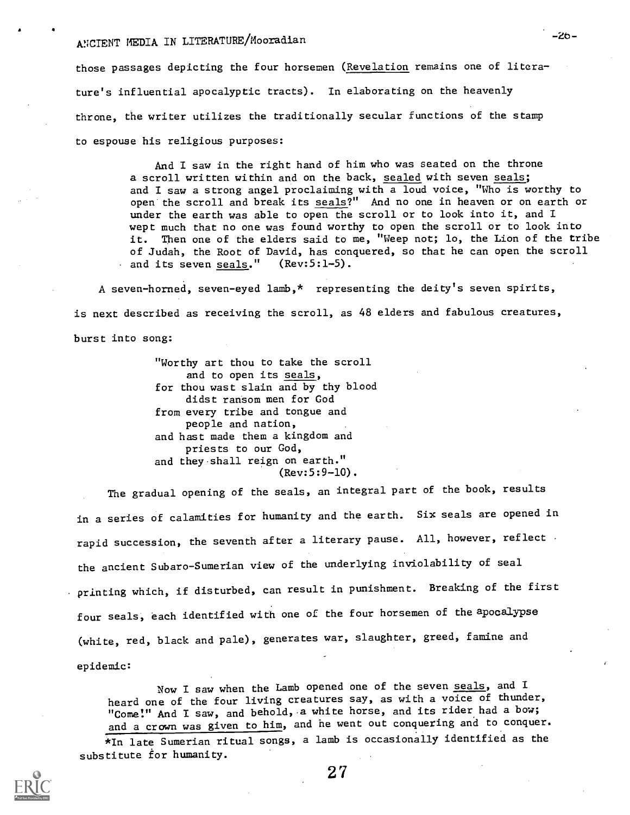# ANCIENT MEDIA IN LITERATURE/Mooradian

those passages depicting the four horsemen (Revelation remains one of literature's influential apocalyptic tracts). In elaborating on the heavenly throne, the writer utilizes the traditionally secular functions of the stamp to espouse his religious purposes:

> And I saw in the right hand of him who was seated on the throne a scroll written within and on the back, sealed with seven seals; and I saw a strong angel proclaiming with a loud voice, "Who is worthy to open the scroll and break its seals?" And no one in heaven or on earth or under the earth was able to open the scroll or to look into it, and I wept much that no one was found worthy to open the scroll or to look into it. Then one of the elders said to me, "Weep not; lo, the Lion of the tribe of Judah, the Root of David, has conquered, so that he can open the scroll and its seven seals." (Rev:5:1-5).

A seven-horned, seven-eyed lamb,\* representing the deity's seven spirits, is next described as receiving the scroll, as 48 elders and fabulous creatures, burst into song:

> "Worthy art thou to take the scroll and to open its seals, for thou wast slain and by thy blood didst ransom men for God from every tribe and tongue and people and nation, and hast made them a kingdom and priests to our God, and they shall reign on earth." (Rev:5:9-10).

The gradual opening of the seals, an integral part of the book, results in a series of calamities for humanity and the earth. Six seals are opened in rapid succession, the seventh after a literary pause. All, however, reflect the ancient Subaro-Sumerian view of the underlying inviolability of seal printing which, if disturbed, can result in punishment. Breaking of the first four seals, each identified with one of the four horsemen of the apocalypse (white, red, black and pale), generates war, slaughter, greed, famine and epidemic:

Now I saw when the Lamb opened one of the seven seals, and I heard one of the four living creatures say, as with a voice of thunder, "Come!" And I saw, and behold, a white horse, and its rider had a bow; and a crown was given to him, and he went out conquering and to conquer.

\*In late Sumerian ritual songs, a lamb is occasionally identified as the substitute for hunanity.



2 7

 $-20-$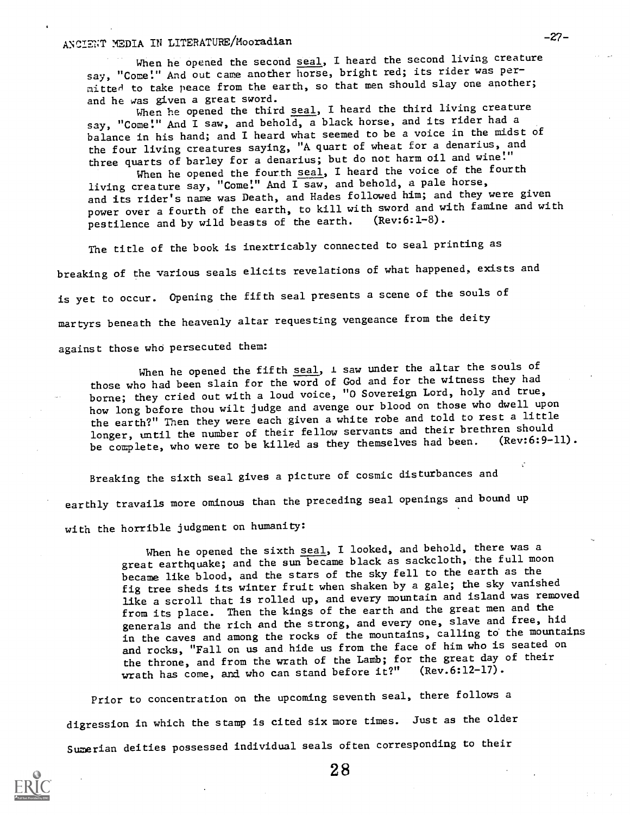# ANCIENT MEDIA IN LITERATURE/Mooradian -27-

When he opened the second seal, I heard the second living creature say, "Come!" And out came another horse, bright red; its rider was permitted to take peace from the earth, so that men should slay one another; and he was given a great sword.

When he opened the third seal, I heard the third living creature say, "Come!" And I saw, and behold, a black horse, and its rider had a balance in his hand; and I heard what seemed to be a voice in the midst of the four living creatures saying, "A quart of wheat for a denarius, and three quarts of barley for a denarius; but do not harm oil and wine!"

When he opened the fourth seal, I heard the voice of the fourth living creature say, "Come!" And I saw, and behold, a pale horse, and its rider's name was Death, and Hades followed him; and they were given power over a fourth of the earth, to kill with sword and with famine and with<br>postilence and by wild beasts of the earth. (Rev:6:1-8). pestilence and by wild beasts of the earth.

The title of the book is inextricably connected to seal printing as breaking of the various seals elicits revelations of what happened, exists and is yet to occur. Opening the fifth seal presents a scene of the souls of martyrs beneath the heavenly altar requesting vengeance from the deity

against those who persecuted them:

When he opened the fifth seal,  $1$  saw under the altar the souls of those who had been slain for the word of God and for the witness they had borne; they cried out with a loud voice, "0 Sovereign Lord, holy and true, how long before thou wilt judge and avenge our blood on those who dwell upon the earth?" Then they were each given a white robe and told to rest a little longer, until the number of their fellow servants and their brethren should be complete, who were to be killed as they themselves had been.

Breaking the sixth seal gives a picture of cosmic disturbances and earthly travails more ominous than the preceding seal openings and bound up with the horrible judgment on humanity:

> When he opened the sixth seal, I looked, and behold, there was a great earthquake; and the sun became black as sackcloth, the full moon became like blood, and the stars of the sky fell to the earth as the fig tree sheds its winter fruit when shaken by a gale; the sky vanished like a scroll that is rolled up, and every mountain and island was removed from its place. Then the kings of the earth and the great men and the generals and the rich and the strong, and every one, slave and free, hid in the caves and among the rocks of the mountains, calling to the mountains and rocks, "Fall on us and hide us from the face of him who is seated on the throne, and from the wrath of the Lamb; for the great day of their wrath has come, and who can stand before it?" (Rev.6:12-17).

Prior to concentration on the upcoming seventh seal, there follows a digression in which the stamp is cited six more times. Just as the older Sumerian deities possessed individual seals often corresponding to their

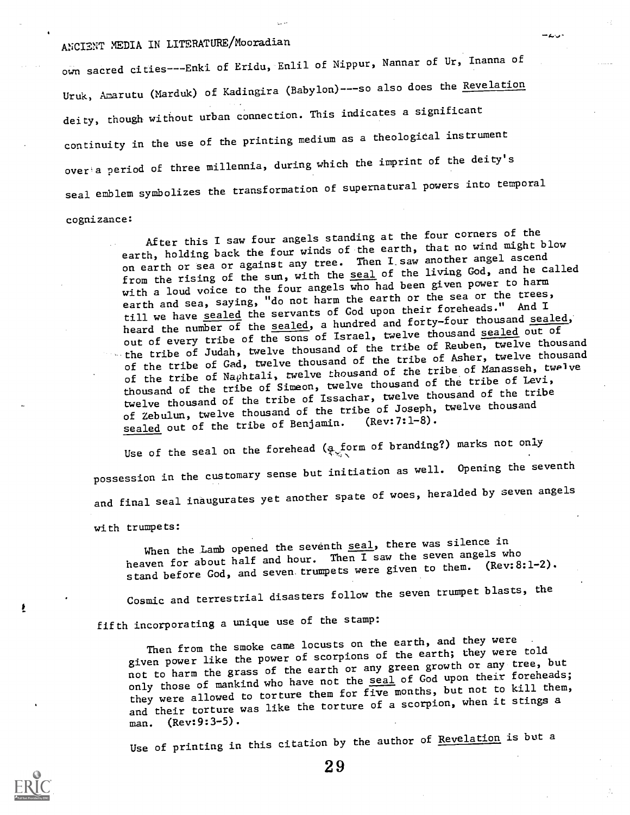# ANCIENT MEDIA IN LITERATURE/Mooradian

own sacred cities---Enki of Eridu, Enlil of Nippur, Nannar of Ur, Inanna of Uruk, Amarutu (Marduk) of Kadingira (Babylon)---so also does the Revelation deity, though without urban connection. This indicates a significant continuity in the use of the printing medium as a theological instrument over'a period of three millennia, during which the imprint of the deity's seal emblem symbolizes the transformation of supernatural powers into temporal

cognizance:

After this I saw four angels standing at the four corners of the earth, holding back the four winds of the earth, that no wind might blow on earth or sea or against any tree. Then I saw another angel ascend from the rising of the sun, with the seal of the living God, and he called with a loud voice to the four angels who had been given power to harm earth and sea, saying, "do not harm the earth or the sea or the trees, till we have sealed the servants of God upon their foreheads." And I heard the number of the sealed, a hundred and forty-four thousand sealed, out of every tribe of the sons of Israel, twelve thousand sealed out of the tribe of Judah, twelve thousand of the tribe of Reuben, twelve thousand of the tribe of Gad, twelve thousand of the tribe of Asher, twelve thousand of the tribe of Naphtali, twelve thousand of the tribe of Manasseh, twelve thousand of the tribe of Simeon, twelve thousand of the tribe of Levi, twelve thousand of the tribe of Issachar, twelve thousand of the tribe of Zebulun, twelve thousand of the tribe of Joseph, twelve thousand sealed out of the tribe of Benjamin.

Use of the seal on the forehead ( $\infty$  form of branding?) marks not only possession in the customary sense but initiation as well. Opening the seventh and final seal inaugurates yet another spate of woes, heralded by seven angels

with trumpets:

When the Lamb opened the seventh seal, there was silence in heaven for about half and hour. Then I saw the seven angels who stand before God, and seven trumpets were given to them. (Rev: 8:1-2).

Cosmic and terrestrial disasters follow the seven trumpet blasts, the

fifth incorporating a unique use of the stamp:

Then from the smoke came locusts on the earth, and they were given power like the power of scorpions of the earth; they were told not to harm the grass of the earth or any green growth or any tree, but only those of mankind who have not the seal of God upon their foreheads; they were allowed to torture them for five months, but not to kill them, and their torture was like the torture of a scorpion, when it stings a man. (Rev:9:3-5).

Use of printing in this citation by the author of Revelation is but a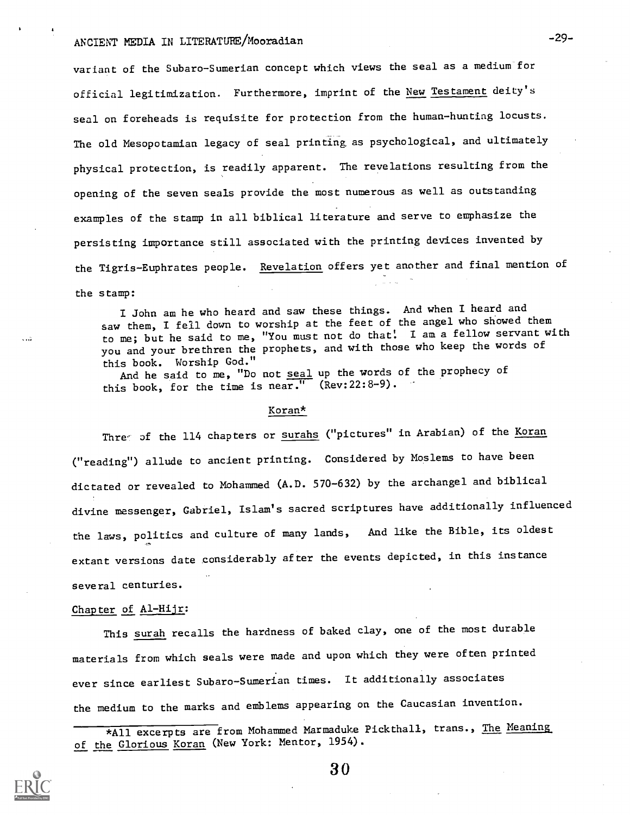# ANCIENT MEDIA IN LITERATURE/Mooradian -29-

variant of the Subaro-Sumerian concept which views the seal as a medium for official legitimization. Furthermore, imprint of the New Testament deity's seal on foreheads is requisite for protection from the human-hunting locusts. The old Mesopotamian legacy of seal printing as psychological, and ultimately physical protection, is readily apparent. The revelations resulting from the opening of the seven seals provide the most numerous as well as outstanding examples of the stamp in all biblical literature and serve to emphasize the persisting importance still associated with the printing devices invented by the Tigris-Euphrates people. Revelation offers yet another and final mention of the stamp:

I John am he who heard and saw these things. And when I heard and saw them, I fell down to worship at the feet of the angel who showed them to me; but he said to me, "You must not do that: I am a fellow servant with you and your brethren the prophets, and with those who keep the words of this book. Worship God."

And he said to me, "Do not seal up the words of the prophecy of this book, for the time is near." (Rev:22:8-9).

#### Koran\*

Threy of the 114 chapters or surahs ("pictures" in Arabian) of the Koran ("reading") allude to ancient printing. Considered by Moslems to have been dictated or revealed to Mohammed (A.D. 570-632) by the archangel and biblical divine messenger, Gabriel, Islam's sacred scriptures have additionally influenced the laws, politics and culture of many lands, And like the Bible, its oldest extant versions date considerably after the events depicted, in this instance several centuries.

### Chapter of Al-Hijr:

This surah recalls the hardness of baked clay, one of the most durable materials from which seals were made and upon which they were often printed ever since earliest Subaro-Sumerian times. It additionally associates the medium to the marks and emblems appearing on the Caucasian invention.

<sup>\*</sup>All excerpts are from Mohammed Marmaduke Pickthall, trans., The Meaning of the Glorious Koran (New York: Mentor, 1954).

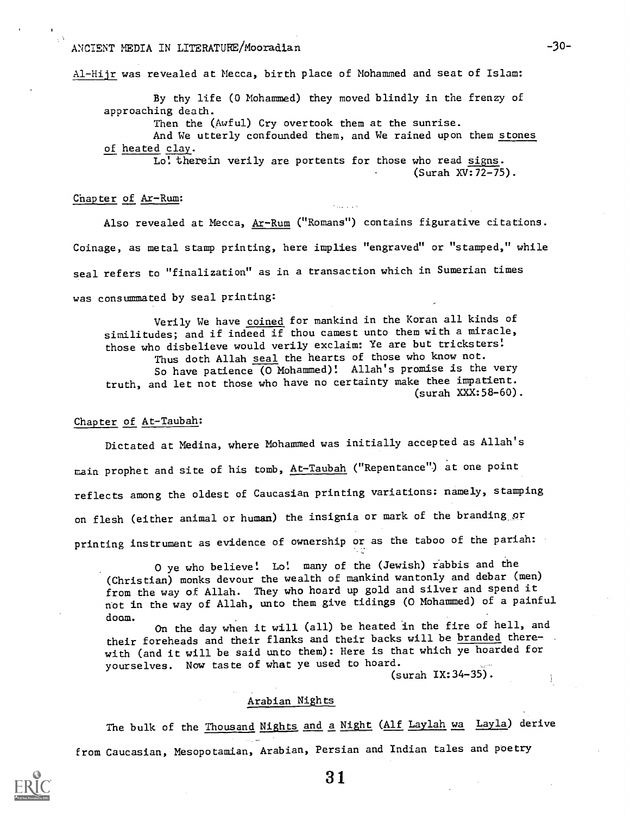## ANCIENT MEDIA IN LITERATURE/Mooradian -30-

Al-Hijr was revealed at Mecca, birth place of Mohammed and seat of Islam:

By thy life (0 Mohammed) they moved blindly in the frenzy of approaching death.

Then the (Awful) Cry overtook them at the sunrise.

And We utterly confounded them, and We rained upon them stones of heated clay.

Lo! therein verily are portents for those who read signs. (Surah XV:72-75).

### Chapter of Ar-Rum:

Also revealed at Mecca, Ar-Rum ("Romans") contains figurative citations. Coinage, as metal stamp printing, here implies "engraved" or "stamped," while seal refers to "finalization" as in a transaction which in Sumerian times was consummated by seal printing:

Verily We have coined for mankind in the Koran all kinds of similitudes; and if indeed if thou camest unto them with a miracle, those who disbelieve would verily exclaim: Ye are but tricksters: Thus doth Allah seal the hearts of those who know not. So have patience (0 Mohammed)! Allah's promise is the very truth, and let not those who have no certainty make thee impatient. (surah XXX:58-60).

### Chapter of At-Taubah:

Dictated at Medina, where Mohammed was initially accepted as Allah's main prophet and site of his tomb, At-Taubah ("Repentance") at one point reflects among the oldest of Caucasian printing variations: namely, stamping on flesh (either animal or human) the insignia or mark of the branding\_or printing instrument as evidence of ownership or as the taboo of the pariah:

O ye who believe! Lo! many of the (Jewish) rabbis and the (Christian) monks devour the wealth of mankind wantonly and debar (men) from the way of Allah. They who hoard up gold and silver and spend it not in the way of Allah, unto them give tidings (0 Mohammed) of a painful doom.

On the day when it will (all) be heated in the fire of hell, and their foreheads and their flanks and their backs will be branded therewith (and it will be said unto them): Here is that which ye hoarded for yourselves. Now taste of what ye used to hoard.

(surah IX:34-35).

#### Arabian Nights

The bulk of the Thousand Nights and a Night (Alf Laylah wa Layla) derive from Caucasian, Mesopotamian, Arabian, Persian and Indian tales and poetry

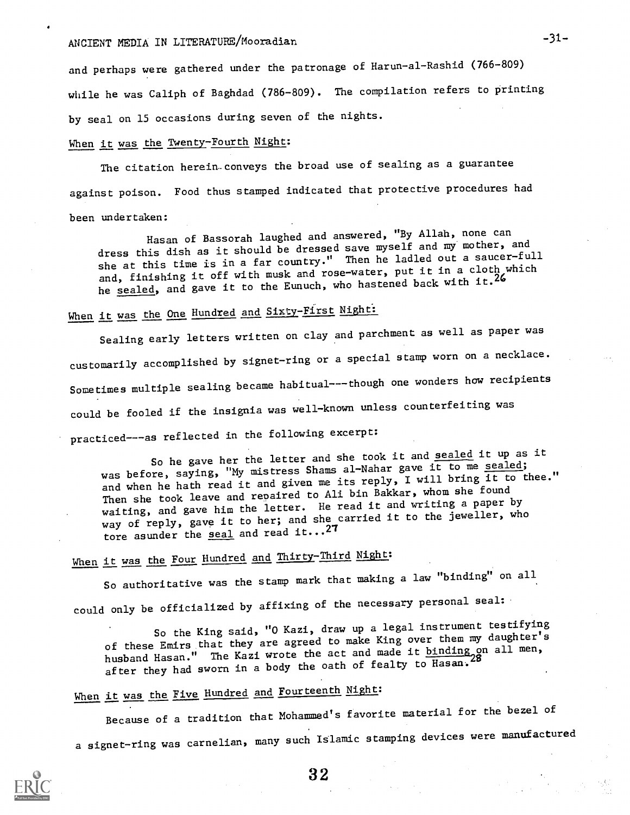# ANCIENT MEDIA IN LITERATURE/Mooradian -31-

and perhaps were gathered under the patronage of Harun-al-Rashid (766-809) while he was Caliph of Baghdad (786-809). The compilation refers to printing by seal on 15 occasions during seven of the nights.

## When it was the Twenty-Fourth Night:

The citation herein-conveys the broad use of sealing as a guarantee against poison. Food thus stamped indicated that protective procedures had been undertaken:

Hasan of Bassorah laughed and answered, "By Allah, none can dress this dish as it should be dressed save myself and my mother, and she at this time is in a far country." Then he ladled out a saucer-full and, finishing it off with musk and rose-water, put it in a cloth which he sealed, and gave it to the Eunuch, who hastened back with it.<sup>26</sup>

# When it was the One Hundred and Sixty-First Night:

Sealing early letters written on clay and parchment as well as paper was customarily accomplished by signet-ring or a special stamp worn on a necklace. Sometimes multiple sealing became habitual---though one wonders how recipients could be fooled if the insignia was well-known unless counterfeiting was practiced---as reflected in the following excerpt:

So he gave her the letter and she took it and sealed it up as it was before, saying, "My mistress Shams al-Nahar gave it to me sealed; and when he hath read it and given me its reply, I will bring it to thee." Then she took leave and repaired to Ali bin Bakkar, whom she found waiting, and gave him the letter. He read it and writing a paper by way of reply, gave it to her; and she carried it to the jeweller, who tore asunder the seal and read  $it...^{27}$ 

# When it was the Four Hundred and Thirty-Third Night:

So authoritative was the stamp mark that making a law "binding" on all could only be officialized by affixing of the necessary personal seal:

So the King said, "0 Kazi, draw up a legal instrument testifying of these Emirs that they are agreed to make King over them my daughter's husband Hasan." The Kazi wrote the act and made it binding on all men, after they had sworn in a body the oath of fealty to Hasan.

# When it was the Five Hundred and Fourteenth Night:

Because of a tradition that Mohammed's favorite material for the bezel of a signet-ring was carnelian, many such Islamic stamping devices were manufactured

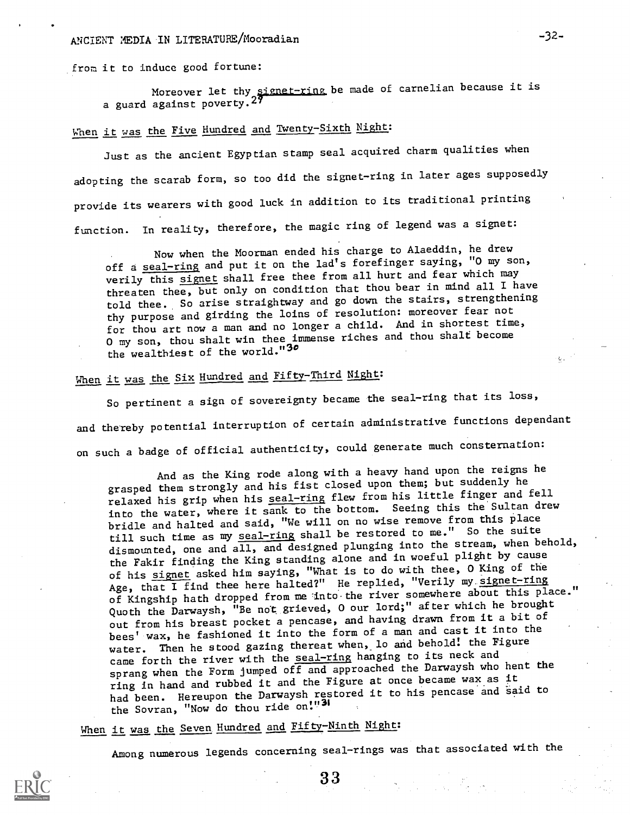# ANCIENT MEDIA IN LITERATURE/Mooradian -32-

from it to induce good fortune:

Moreover let thy <u>signet-ring</u> be made of carnelian because it is a guard against poverty.<sup>27</sup>

# When it was the Five Hundred and Twenty-Sixth Night:

Just as the ancient Egyptian stamp seal acquired charm qualities when adopting the scarab form, so too did the signet-ring in later ages supposedly provide its wearers with good luck in addition to its traditional printing function. In reality, therefore, the magic ring of legend was a signet:

Now when the Moorman ended his charge to Alaeddin, he drew off a seal-ring and put it on the lad's forefinger saying, "O my son, verily this signet shall free thee from all hurt and fear which may threaten thee, but only on condition that thou bear in mind all I have told thee. So arise straightway and go down the stairs, strengthening thy purpose and girding the loins of resolution: moreover fear not for thou art now a man and no longer a child. And in shortest time, 0 my son, thou shalt win thee immense riches and thou shalt become the wealthiest of the world."30

# When it was the Six Hundred and Fifty-Third Night:

So pertinent a sign of sovereignty became the seal-ring that its loss, and thereby potential interruption of certain administrative functions dependant on such a badge of official authenticity, could generate much consternation:

And as the King rode along with a heavy hand upon the reigns he grasped them strongly and his fist closed upon them; but suddenly he relaxed his grip when his seal-ring flew from his little finger and fell into the water, where it sank to the bottom. Seeing this the'Sultan drew bridle and halted and said, "We will on no wise remove from this place till such time as my seal-ring shall be restored to me." So the suite dismounted, one and all, and designed plunging into the stream, when behold, the Fakir finding the King standing alone and in woeful plight by cause of his signet asked him saying, "What is to do with thee, 0 King of the Age, that I find thee here halted?" He replied, "Verily my signet-ring of Kingship hath dropped from me-into-the river somewhere about this place." Quoth the Darwaysh, "Be not, grieved, 0 our lord;" after which he brought out from his breast pocket a pencase, and having drawn from it a bit of bees' wax, he fashioned it into the form of a man and cast it into the water. Then he stood gazing thereat when, lo and behold! the Figure came forth the river with the seal-ring hanging to its neck and sprang when the Form jumped off and approached the Darwaysh who hent the ring in hand and rubbed it and the Figure at once became wax as it had been. Hereupon the Darwaysh restored it to his pencase and said to the Sovran, "Now do thou ride on!"31

# When it was the Seven Hundred and Fifty-Ninth Night:

Among numerous legends concerning seal-rings was that associated with the

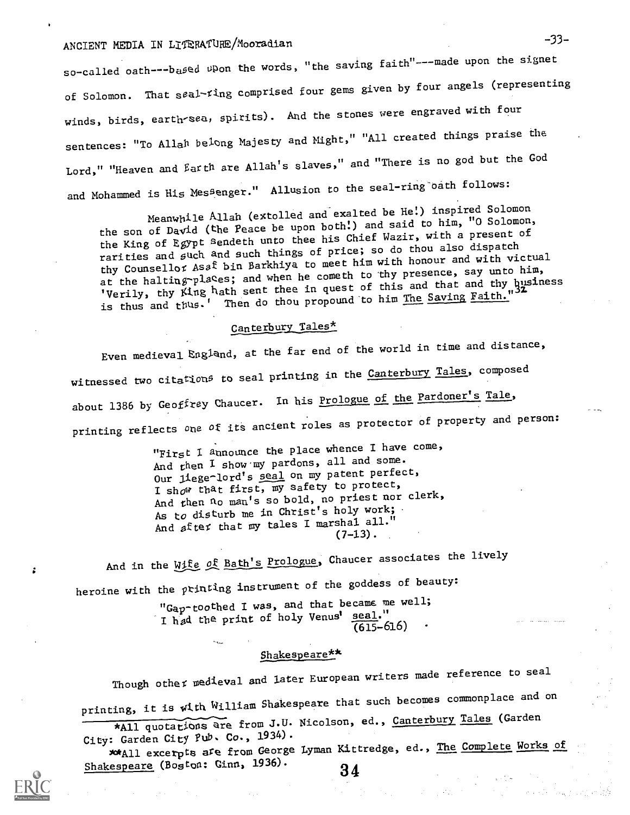# ANCIENT MEDIA IN LITERATURE/Mooradian -33-

so-called oath---based upon the words, "the saving faith"---made upon the signet of Solomon. That seal-ting comprised four gems given by four angels (representing winds, birds, earth-sea, spirits). And the stones were engraved with four sentences: "To Allah belong Majesty and Might," "All created things praise the Lord," "Heaven and Earth are Allah's slaves," and "There is no god but the God and Mohammed is His Mes<sup>genger."</sup> Allusion to the seal-ring oath follows:

Meanwhile Allah (extolled and exalted be He!) inspired Solomon the son of David (the Peace be upon both!) and said to him, "0 Solomon, the King of Egypt sendeth unto thee his Chief Wazir, with a present of rarities and such and such things of price; so do thou also dispatch thy Counsellor Asaf bin Barkhiya to meet him with honour and with victual at the halting-places; and when he cometh to thy presence, say unto him, 'Verily, thy King hath sent thee in quest of this and that and thy husiness is thus and thus.' Then do thou propound to him The Saving Faith."

## Canterbury Tales\*

Even medieval England, at the far end of the world in time and distance, witnessed two citation<sup>g</sup> to seal printing in the Canterbury Tales, composed about 1386 by Geoffrey Chaucer. In his Prologue of the Pardoner's Tale, printing reflects one of its ancient roles as protector of property and person:

"First I announce the place whence I have come, And then I show'my pardons, all and some. Our liege-lord's seal on my patent perfect, I show that first,  $\overline{my}$  safety to protect, And then no man's so bold, no priest nor clerk, As to disturb me in Christ's holy work; And after that my tales I marshal all."  $(7-13)$ .

And in the Wife of Bath's Prologue, Chaucer associates the lively heroine with the ptinting instrument of the goddess of beauty:

"Gap-toothed I was, and that became me well; I had the print of holy Venus' seal."  $(615 - 616)$ 

#### Shakespeare\*\*

Though other medieval and later European writers made reference to seal printing, it is with William Shakespeare that such becomes commonplace and on

\*All quotations are from J.U. Nicolson, ed., Canterbury Tales (Garden

34

City: Garden City Pub. Co., 1934). . Cardon care, when George Lyman Kittredge, ed., The Complete Works of

Shakespeare (Boston: Ginn, 1936).

ż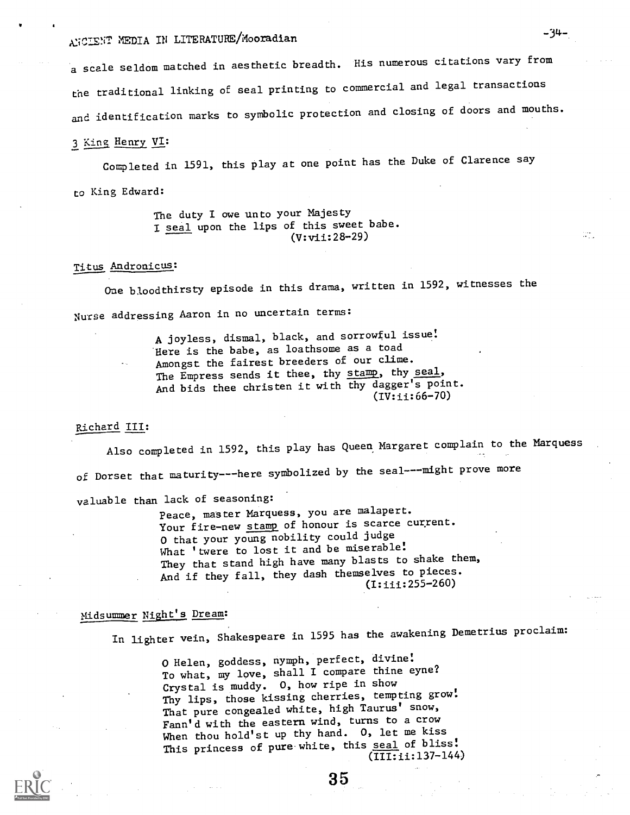# ANCIENT MEDIA IN LITERATURE/Mooradian -34-

a scale seldom matched in aesthetic breadth. His numerous citations vary from the traditional linking of seal printing to commercial and legal transactions and identification marks to symbolic protection and closing of doors and mouths.

### 3 King Henry VI:

Completed in 1591, this Play at one point has the Duke of Clarence say

to King Edward:

The duty I owe unto your Majesty I seal upon the lips of this sweet babe. (V:vii:28-29)

### Titus Andronicus:

One bloodthirsty episode in this drama, written in 1592, witnesses the Nurse addressing Aaron in no uncertain terms:

> A joyless, dismal, black, and sorrowful issue: Here is the babe, as loathsome as a toad Amongst the fairest breeders of our clime. The Empress sends it thee, thy stamp, thy seal, And bids thee christen it with thy dagger's point. (IV:ii:66-70)

#### Richard III:

Also completed in 1592, this play has Queen Margaret complain to the Marquess of Dorset that maturity---here symbolized by the seal----might prove more valuable than lack of seasoning:

Peace, master Marquess, you are malapert. Your fire-new stamp of honour is scarce current. 0 that your young nobility could judge What 'twere to lost it and be miserable! They that stand high have many blasts to shake them, And if they fall, they dash themselves to pieces. (I:iii:255-260)

## Midsummer Night's Dream:

In lighter vein, Shakespeare in 1595 has the awakening Demetrius proclaim:

0 Helen, goddess, nymph, perfect, divine: To what, my love, shall I compare thine eyne? Crystal is muddy. 0, how ripe in show Thy lips, those kissing cherries, tempting grow: That pure congealed white, high Taurus' snow, Fann'd with the eastern wind, turns to a crow When thou hold'st up thy hand. 0, let me kiss This princess of pure white, this seal of bliss! (III:ii:137-144) W.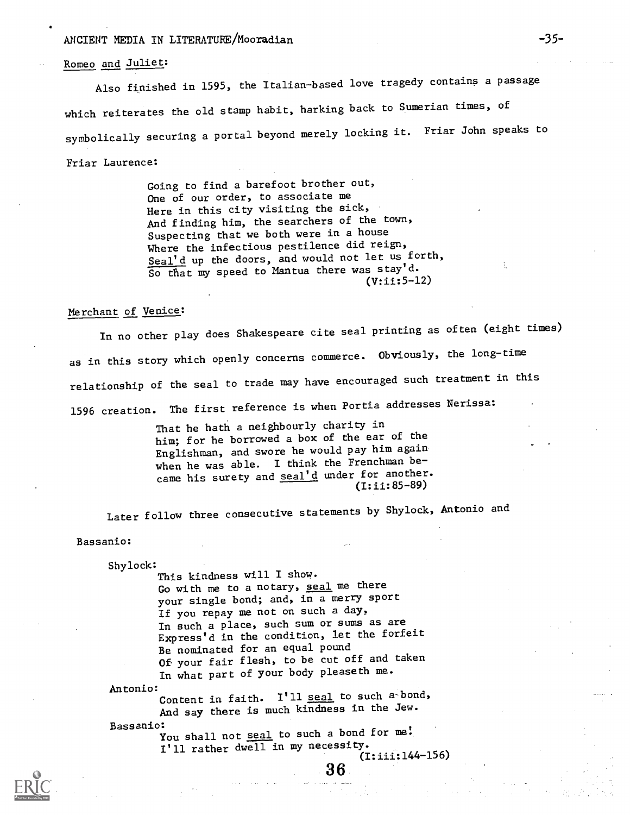## ANCIENT MEDIA IN LITERATURE/Mooradian -35-

### Romeo and Juliet:

Also finished in 1595, the Italian-based love tragedy contains a passage which reiterates the old stamp habit, harking back to Sumerian times, of symbolically securing a portal beyond merely locking it. Friar John speaks to Friar Laurence:

> Going to find a barefoot brother out, One of our order, to associate me Here in this city visiting the sick, And finding him, the searchers of the town, Suspecting that we both were in a house Where the infectious pestilence did reign, Seal'd up the doors, and would not let us forth, So that my speed to Mantua there was stay'd. (V:ii:5-12)

### Merchant of Venice:

In no other play does Shakespeare cite seal printing as often (eight times) as in this story which openly concerns commerce. Obviously, the long-time relationship of the seal to trade may have encouraged such treatment in this 1596 creation. The first reference is when Portia addresses Nerissa:

> That he hath a neighbourly charity in him; for he borrowed a box of the ear of the Englishman, and swore he would pay him again when he was able. I think the Frenchman became his surety and seal'd under for another.  $(I:ii:85-89)$

Later follow three consecutive statements by Shylock, Antonio and

Bassanio:

Shylock:

This kindness will I show. Go with me to a notary, seal me there your single bond; and, in a merry sport If you repay me not on such a day, In such a place, such sum or sums as are Express'd in the condition, let the forfeit Be nominated for an equal pound Of your fair flesh, to be cut off and taken In what part of your body pleaseth me. Antonio: Content in faith. I'll seal to such a bond, And say there is much kindness in the Jew.

Bassanio:<br>You shall not <u>seal</u> to such a bond for me! I'll rather dwell in my necessity.

3 6

(I:iii:144-156)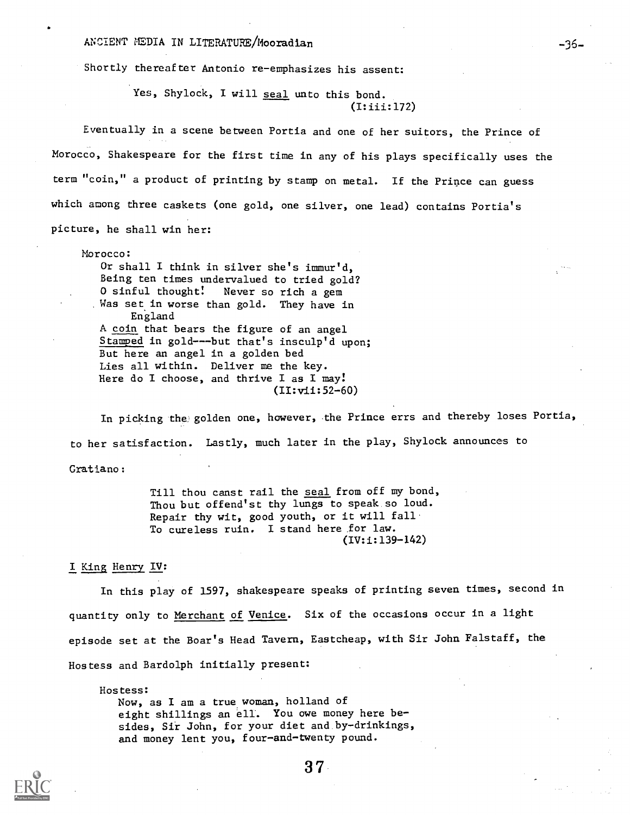ANCIENT MEDIA IN LITERATURE/Mooradian - 36-

Shortly thereafter Antonio re-emphasizes his assent:

Yes, Shylock, I will seal unto this bond. (I:iii:172)

Eventually in a scene between Portia and one of her suitors, the Prince of Morocco, Shakespeare for the first time in any of his plays specifically uses the term "coin," a product of printing by stamp on metal. If the Prince can guess which among three caskets (one gold, one silver, one lead) contains Portia's picture, he shall win her:

Morocco:

Or shall I think in silver she's immur'd, Being ten times undervalued to tried gold? 0 sinful thought! Never so rich a gem Was set in worse than gold. They have in England A coin that bears the figure of an angel Stamped in gold---but that's insculp'd upon; But here an angel in a golden bed Lies all within. Deliver me the key. Here do I choose, and thrive I as I may! (II:vii:52-60)

In picking the golden one, however, the Prince errs and thereby loses Portia, to her satisfaction. Lastly, much later in the play, Shylock announces to Gratiano:

Till thou canst rail the seal from off my bond, Thou but offend'st thy lungs to speak so loud. Repair thy wit, good youth, or it will fall To cureless ruin. I stand here for law. (IV:i:139-142)

### I King Henry IV:

In this play of 1597, shakespeare speaks of printing seven times, second in quantity only to Merchant of Venice. Six of the occasions occur in a light episode set at the Boar's Head Tavern, Eastcheap, with Sir John Falstaff, the Hostess and Bardolph initially present:

Hostess: Now, as I am a true woman, holland of eight shillings an ell. You owe money here besides, Sir John, for your diet and by-drinkings, and money lent you, four-and-twenty pound.

 $37-$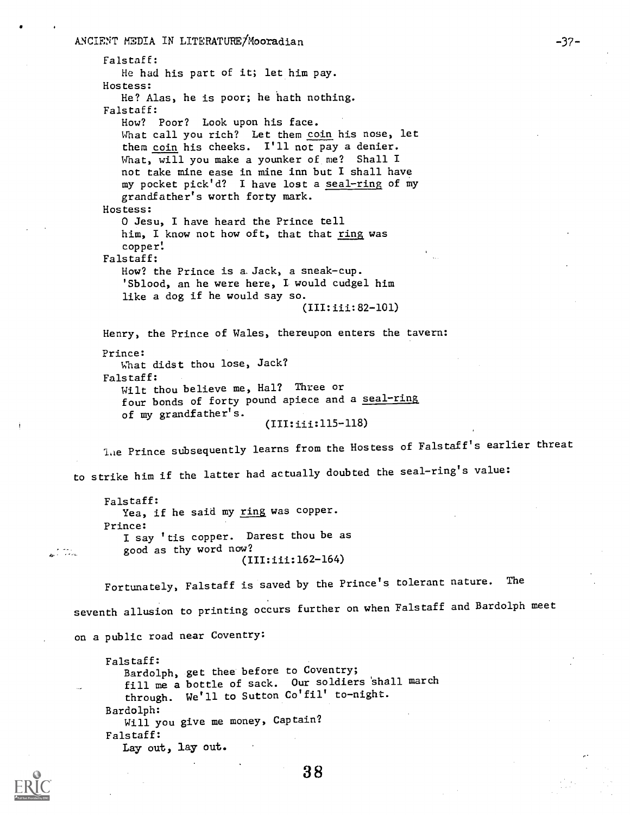an Albanya.<br>Anggota

Falstaff: He had his part of it; let him pay. Hostess: He? Alas, he is poor; he hath nothing. Falstaff: How? Poor? Look upon his face. What call you rich? Let them coin his nose, let them coin his cheeks. I'll not pay a denier. What, will you make a younker of me? Shall I not take mine ease in mine inn but I shall have my pocket pick'd? I have lost a seal-ring of my grandfather's worth forty mark. Hostess: 0 Jesu, I have heard the Prince tell him, I know not how oft, that that ring was copper! Falstaff: How? the Prince is a. Jack, a sneak-cup. 'Sblood, an he were here, I would cudgel him like a dog if he would say so. (III:iii:82-101) Henry, the Prince of Wales, thereupon enters the tavern: Prince: What didst thou lose, Jack? Falstaff: Wilt thou believe me, Hal? Three or four bonds of forty pound apiece and a seal-ring of my grandfather's. (III:iii:115-118) lae Prince subsequently learns from the Hostess of Falstaff's earlier threat to strike him if the latter had actually doubted the seal-ring's value: Falstaff: Yea, if he said my ring was copper. Prince: I say 'tis copper. Darest thou be as good as thy word now? (III:iii:162-164) Fortunately, Falstaff is saved by the Prince's tolerant nature. The seventh allusion to printing occurs further on when Falstaff and Bardolph meet on a public road near Coventry: Falstaff:

-37-

Bardolph, get thee before to Coventry; fill me a bottle of sack. Our soldiers 'shall march through. We'll to Sutton Co'fil' to-night. Bardolph: Will you give me money, Captain? Falstaff: Lay out, lay out.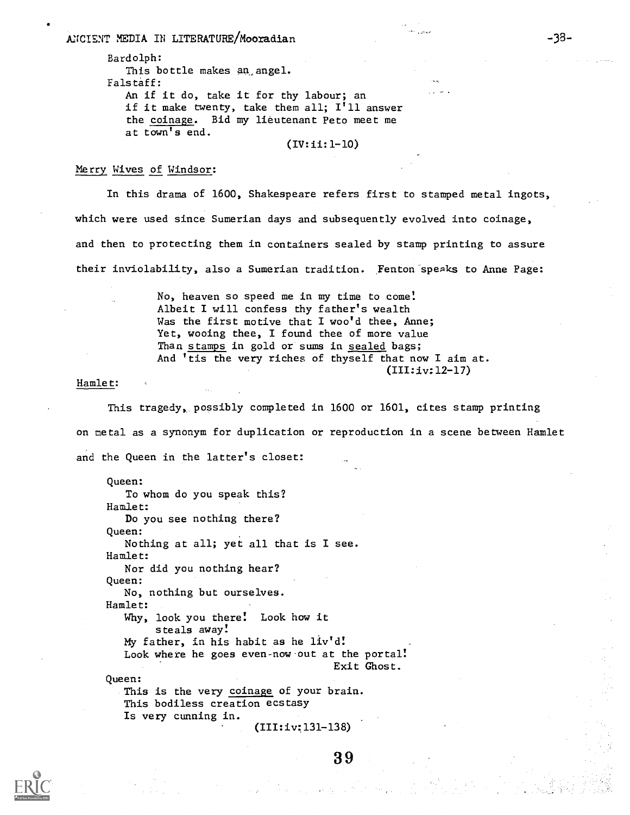ANCIENT MEDIA IN LITERATURE/Mooradian

Bardolph: This bottle makes an angel. Falstaff: An if it do, take it for thy labour; an if it make twenty, take them all; I'll answer the coinage. Bid my lieutenant Peto meet me at town's end.

(IV:ii:1-10)

### Merry Wives of Windsor:

In this drama of 1600, Shakespeare refers first to stamped metal ingots, which were used since Sumerian days and subsequently evolved into coinage, and then to protecting them in containers sealed by stamp printing to assure their inviolability, also a Sumerian tradition. Fenton speaks to Anne Page:

> No, heaven so speed me in my time to come! Albeit I will confess thy father's wealth Was the first motive that I woo'd thee, Anne; Yet, wooing thee, I found thee of more value Than stamps in gold or suns in sealed bags; And 'tis the very riches of thyself that now I aim at. (III:iv:12-17)

#### Hamlet:

This tragedy, possibly completed in 1600 or 1601, cites stamp printing on metal as a synonym for duplication or reproduction in a scene between Hamlet and the Queen in the latter's closet:

Queen: To whom do you speak this? Hamlet: Do you see nothing there? Queen: Nothing at all; yet all that is I see. Hamlet: Nor did you nothing hear? Queen: No, nothing but ourselves. Hamlet: Why, look you there! Look how it steals away! My father, in his habit as he liv'd! Look where he goes even-now out at the portal! Exit Ghost. Queen: This is the very coinage of your brain. This bodiless creation ecstasy Is very cunning in.

(III:iv:131-138)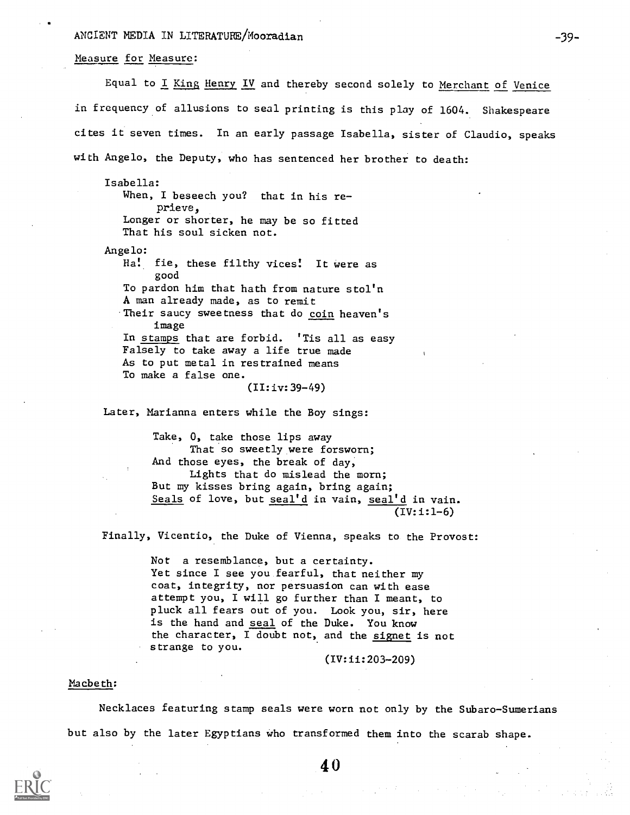### ANCIENT MEDIA IN LITERATURE/Mooradian -39-

### Measure for Measure:

Equal to I King Henry IV and thereby second solely to Merchant of Venice in frequency of allusions to seal printing is this play of 1604. Shakespeare cites it seven times. In an early passage Isabella, sister of Claudio, speaks with Angelo, the Deputy, who has sentenced her brother to death:

Isabella: When, I beseech you? that in his reprieve, Longer or shorter, he may be so fitted That his soul sicken not. Angelo: Ha! fie, these filthy vices! It were as good To pardon him that hath from nature stol'n A man already made, as to remit Their saucy sweetness that do coin heaven's image In stamps that are forbid. 'Tis all as easy Falsely to take away a life true made As to put metal in restrained means To make a false one. (II:iv:39-49)

Later, Marianna enters while the Boy sings:

Take, 0, take those lips away That so sweetly were forsworn; And those eyes, the break of day, Lights that do mislead the morn; But my kisses bring again, bring again; Seals of love, but seal'd in vain, seal'd in vain. (IV:i:1-6)

Finally, Vicentio, the Duke of Vienna, speaks to the Provost:

Not a resemblance, but a certainty. Yet since I see you fearful, that neither my coat, integrity, nor persuasion can with ease attempt you, I will go further than I meant, to pluck all fears out of you. Look you, sir, here is the hand and seal of the Duke. You know the character, I doubt not, and the signet is not strange to you.

(IV:ii:203-209)

#### Macbeth:

Necklaces featuring stamp seals were worn not only by the Subaro-Sumerians but also by the later Egyptians Who transformed them into the scarab shape.

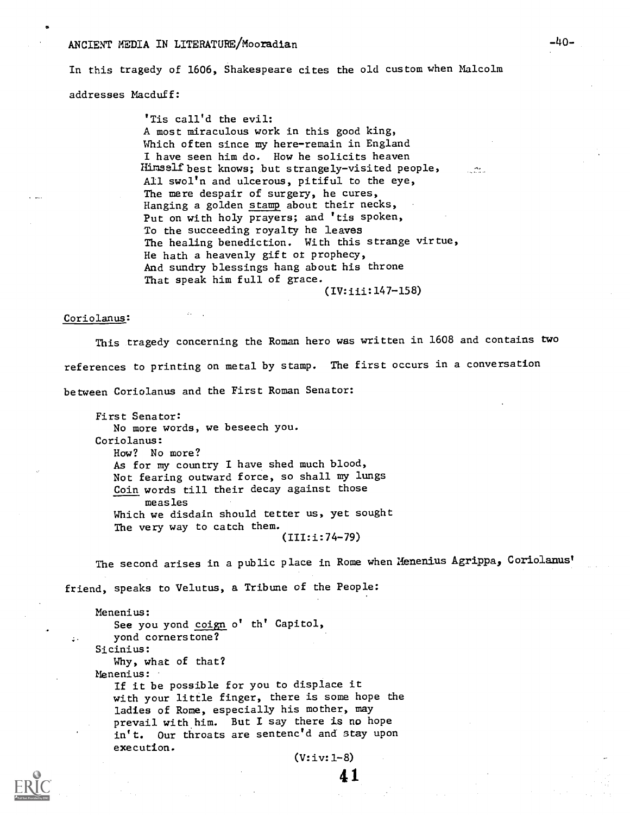#### ANCIENT MEDIA IN LITERATURE/Mooradian

In this tragedy of 1606, Shakespeare cites the old custom when Malcolm addresses Nacduff:

> 'Tis call'd the evil: A most miraculous work in this good king, Which often since my here-remain in England I have seen him do. How he solicits heaven Himself best knows; but strangely-visited people, All swol'n and ulcerous, pitiful to the eye, The mere despair of surgery, he cures, Hanging a golden stamp about their necks, Put on with holy prayers; and 'tis spoken, To the succeeding royalty he leaves The healing benediction. With this strange virtue, He hath a heavenly gift ot prophecy, And sundry blessings hang about his throne That speak him full of grace.

> > (IV:iii:147-158)

#### Coriolanus:

This tragedy concerning the Roman hero was written in 1608 and contains two references to printing on metal by stamp. The first occurs in a conversation between Coriolanus and the First Roman Senator:

First Senator: No more words, we beseech you. Coriolanus: How? No more? As for my country I have shed much blood, Not fearing outward force, so shall my lungs Coin words till their decay against those measles Which we disdain should tetter us, yet sought The very way to catch them. (III:i:74-79)

The second arises in a public place in Rome when Henenius Agrippa, Coriolanust

friend, speaks to Velutus, a Tribune of the People:

: yond cornerstone? Nenenius: See you yond coign o' th' Capitol, Sicinius: Why, what of that? Menenius: If it be possible for you to displace it with your little finger, there is some hope the ladies of Rome, especially his mother, may prevail with him. But I say there is no hope in't. Our throats are sentenc'd and stay upon execution.

(V:iv:1-8)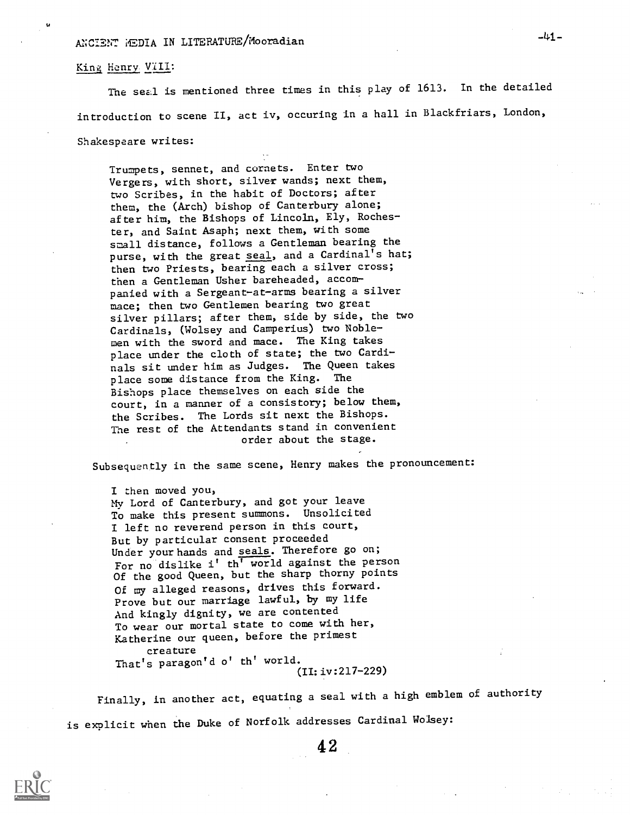### King Henry VIII:

The seal is mentioned three times in this play of 1613. In the detailed introduction to scene II, act iv, occuring in a hall in Blackfriars, London,

Shakespeare writes:

Trumpets, sennet, and cornets. Enter two Vergers, with short, silver wands; next them, two Scribes, in the habit of Doctors; after them, the (Arch) bishop of Canterbury alone; after him, the Bishops of Lincoln, Ely, Rochester, and Saint Asaph; next them, with some small distance, follows a Gentleman bearing the purse, with the great seal, and a Cardinal's hat; then two Priests, bearing each a silver cross; then a Gentleman Usher bareheaded, accompanied with a Sergeant-at-arms bearing a silver mace; then two Gentlemen bearing two great silver pillars; after them, side by side, the two Cardinals, (Wolsey and Camperius) two Noblemen with the sword and mace. The King takes place under the cloth of state; the two Cardinals sit under him as Judges. The Queen takes place some distance from the King. Bishops place themselves on each side the court, in a manner of a consistory; below them, the Scribes. The Lords sit next the Bishops. The rest of the Attendants stand in convenient order about the stage.

Subsequently in the same scene, Henry makes the pronouncement:

I then moved you, My Lord of Canterbury, and got your leave To make this present summons. Unsolicited I left no reverend person in this court, But by particular consent proceeded Under your hands and seals. Therefore go on; For no dislike i' th' world against the person Of the good Queen, but the sharp thorny points Of my alleged reasons, drives this forward. Prove but our marriage lawful, by my life And kingly dignity, we are contented To wear our mortal state to come with her, Katherine our queen, before the primest creature That's paragon'd o' th' world. (II:iv:217-229)

Finally, in another act, equating a seal with a high emblem of authority is explicit when the Duke of Norfolk addresses Cardinal Wolsey:

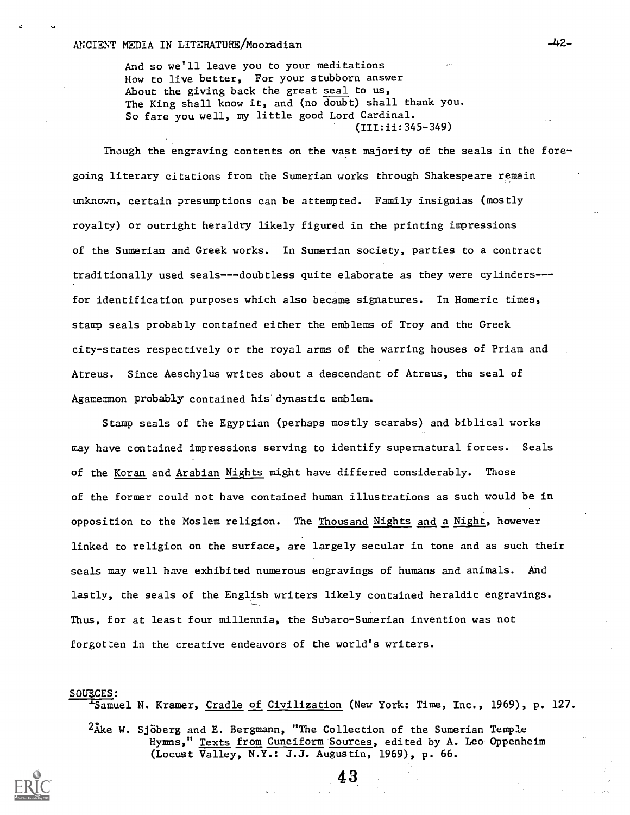And so we'll leave you to your meditations How to live better, For your stubborn answer About the giving back the great seal to us, The King shall know it, and (no doubt) shall thank you. So fare you well, my little good Lord Cardinal. (III:ii:345-349)

Though the engraving contents on the vast majority of the seals in the foregoing literary citations from the Sumerian works through Shakespeare remain unknown, certain presumptions can be attempted. Family insignias (mostly royalty) or outright heraldry likely figured in the printing impressions of the Sumerian and Greek works. In Sumerian society, parties to a contract traditionally used seals---doubtless quite elaborate as they were cylinders-- for identification purposes which also became signatures. In Homeric times, stamp seals probably contained either the emblems of Troy and the Greek city-states respectively or the royal arms of the warring houses of Priam and Atreus. Since Aeschylus writes about a descendant of Atreus, the seal of Agamemnon probably contained his dynastic emblem.

Stamp seals of the Egyptian (perhaps mostly scarabs) and biblical works may have contained impressions serving to identify supernatural forces. Seals of the Koran and Arabian Nights might have differed considerably. Those of the former could not have contained human illustrations as such would be in opposition to the Moslem religion. The Thousand Nights and a Night, however linked to religion on the surface, are largely secular in tone and as such their seals may well have exhibited numerous engravings of humans and animals. And lastly, the seals of the English writers likely contained heraldic engravings. Thus, for at least four millennia, the Subaro-Sumerian invention was not forgotten in the creative endeavors of the world's writers.

#### SOURCES:

'Samuel N. Kramer, Cradle of Civilization (New York: Time, Inc., 1969), p. 127.

43

 $^{2}$ Åke W. Sjöberg and E. Bergmann, "The Collection of the Sumerian Temple Hymns," <u>Texts from Cuneiform Sources</u>, edited by A. Leo Oppenheim (Locust Valley, N.Y.: J.J. Augustin, 1969), p. 66.



 $-42-$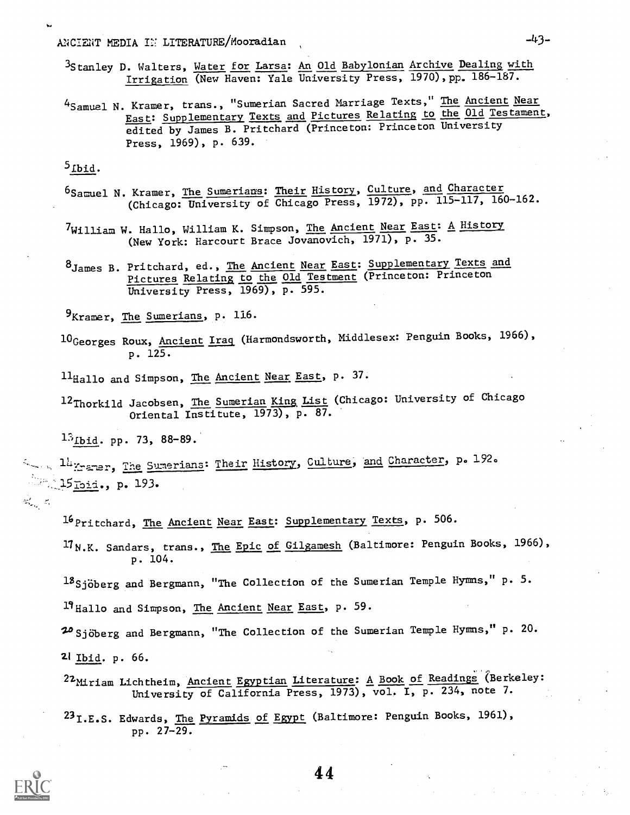ANCIENT MEDIA II LITERATURE/Mooradian -43-

- 3Stanley D. Walters, Water for Larsa: An Old Babylonian Archive Dealing with Irrigation (New Haven: Yale University Press, 1970), pp. 186-187.
- <sup>4</sup>Samuel N. Kramer, trans., "Sumerian Sacred Marriage Texts," The Ancient Near East: Supplementary Texts and Pictures Relating to the Old Testament, edited by James B. Pritchard (Princeton: Princeton University Press, 1969), p. 639.

 $5<sub>Ibid.</sub>$ 

- 6Samuel N. Kramer, The Sumerians: Their History, Culture, and Character (Chicago: University of Chicago Press, 1972), pp. 115-117, 160-162.
- <sup>7</sup>William W. Hallo, William K. Simpson, <u>The Ancient Near East</u>: <u>A History</u> (New York: Harcourt Brace Jovanovich, 1971), p. 35.
- 8James B. Pritchard, ed., The Ancient Near East: Supplementary Texts and Pictures Relating to the Old Testment (Princeton: Princeton University Press, 1969), p. 595.

9<sub>Kramer</sub>, The Sumerians, p. 116.

10Georges Roux, Ancient Iraq (Harmondsworth, Middlesex: Penguin Books, 1966), p. 125.

11<sub>Hallo and Simpson, The Ancient Near East, p. 37.</sub>

12Thorkild Jacobsen, The Sumerian King List (Chicago: University of Chicago Oriental Institute, 1973), p. 87.

 $13$ Ibid. pp. 73, 88-89.

14 Xramer, The Sumerians: Their History, Culture, and Character, p. 192. **193.** 15 Ibid., p. 193.

 $\mathcal{C}_{\alpha_{1},\dots,\alpha_{n}}$ 

16 Pritchard, The Ancient Near East: Supplementary Texts, p. 506.

17N.K. Sandars, trans., The Epic of Gilgamesh (Baltimore: Penguin Books, 1966), p. 104.

 $^{18}$ Sjöberg and Bergmann, "The Collection of the Sumerian Temple Hymns," p. 5.

l'Hallo and Simpson, The Ancient Near East, p. 59.

20 Sjöberg and Bergmann, "The Collection of the Sumerian Temple Hymns," p. 20.

Zi Ibid. p. 66.

, 22Miriam Lichtheim, Ancient Egyptian Literature: A Book of Readings (Berkeley: University of California Press, 1973), vol. I, p. 234, note 7.

23 I.E.S. Edwards, The Pyramids of Egypt (Baltimore: Penguin Books, 1961), pp. 27-29.